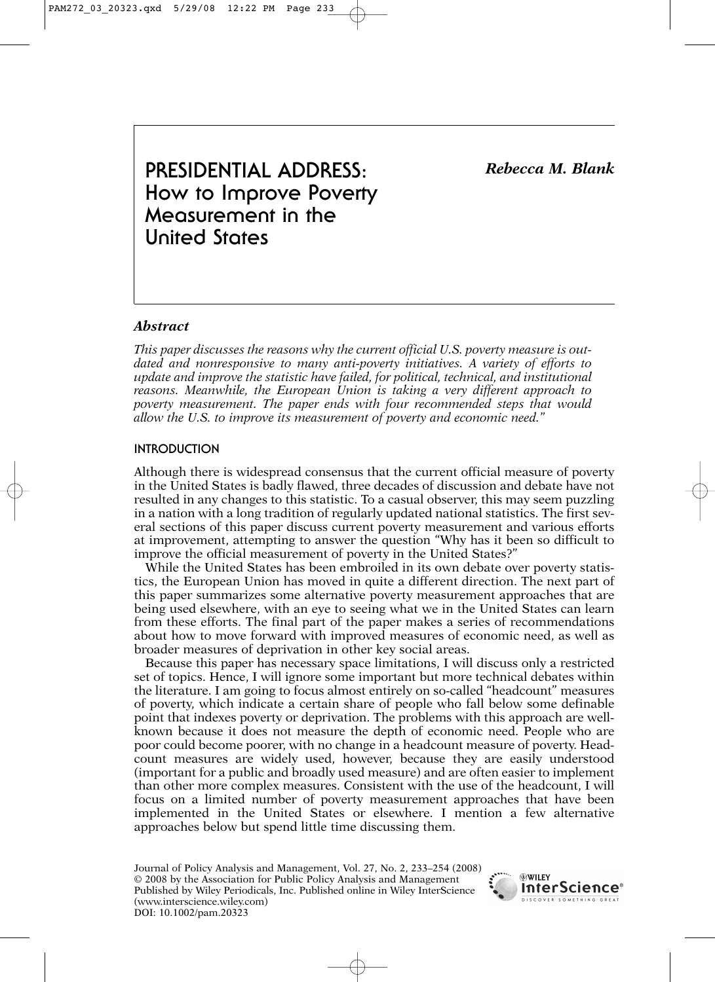# **PRESIDENTIAL ADDRESS:** *Rebecca M. Blank* **How to Improve Poverty Measurement in the United States**

# *Abstract*

*This paper discusses the reasons why the current official U.S. poverty measure is outdated and nonresponsive to many anti-poverty initiatives. A variety of efforts to update and improve the statistic have failed, for political, technical, and institutional reasons. Meanwhile, the European Union is taking a very different approach to poverty measurement. The paper ends with four recommended steps that would allow the U.S. to improve its measurement of poverty and economic need."* 

# **INTRODUCTION**

Although there is widespread consensus that the current official measure of poverty in the United States is badly flawed, three decades of discussion and debate have not resulted in any changes to this statistic. To a casual observer, this may seem puzzling in a nation with a long tradition of regularly updated national statistics. The first several sections of this paper discuss current poverty measurement and various efforts at improvement, attempting to answer the question "Why has it been so difficult to improve the official measurement of poverty in the United States?"

While the United States has been embroiled in its own debate over poverty statistics, the European Union has moved in quite a different direction. The next part of this paper summarizes some alternative poverty measurement approaches that are being used elsewhere, with an eye to seeing what we in the United States can learn from these efforts. The final part of the paper makes a series of recommendations about how to move forward with improved measures of economic need, as well as broader measures of deprivation in other key social areas.

Because this paper has necessary space limitations, I will discuss only a restricted set of topics. Hence, I will ignore some important but more technical debates within the literature. I am going to focus almost entirely on so-called "headcount" measures of poverty, which indicate a certain share of people who fall below some definable point that indexes poverty or deprivation. The problems with this approach are wellknown because it does not measure the depth of economic need. People who are poor could become poorer, with no change in a headcount measure of poverty. Headcount measures are widely used, however, because they are easily understood (important for a public and broadly used measure) and are often easier to implement than other more complex measures. Consistent with the use of the headcount, I will focus on a limited number of poverty measurement approaches that have been implemented in the United States or elsewhere. I mention a few alternative approaches below but spend little time discussing them.

Journal of Policy Analysis and Management, Vol. 27, No. 2, 233–254 (2008) © 2008 by the Association for Public Policy Analysis and Management Published by Wiley Periodicals, Inc. Published online in Wiley InterScience (www.interscience.wiley.com) DOI: 10.1002/pam.20323

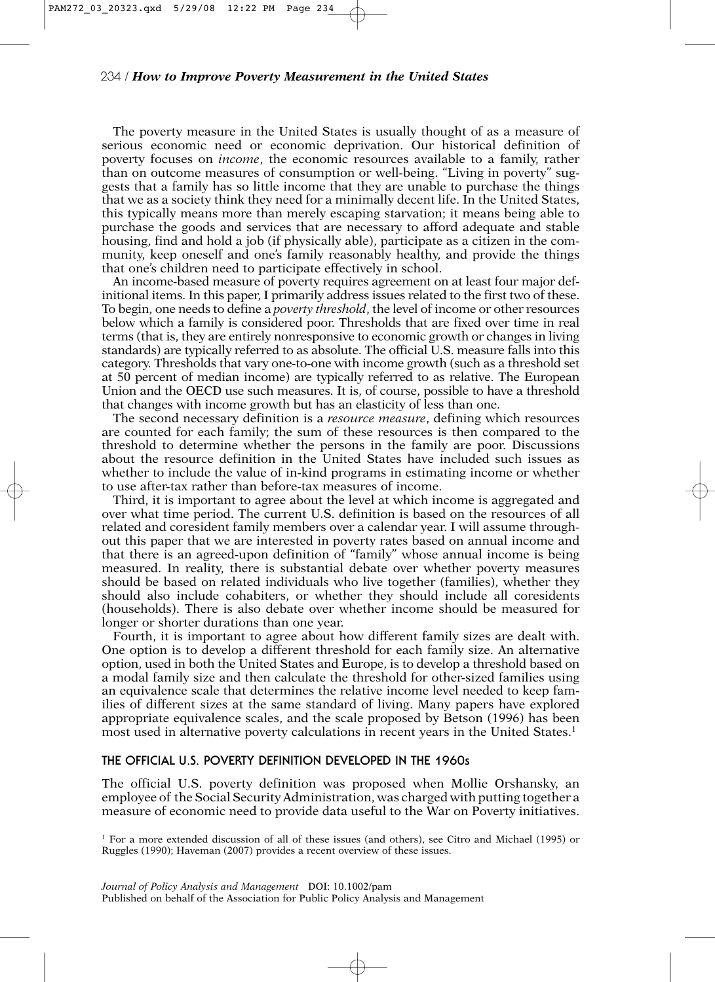The poverty measure in the United States is usually thought of as a measure of serious economic need or economic deprivation. Our historical definition of poverty focuses on *income*, the economic resources available to a family, rather than on outcome measures of consumption or well-being. "Living in poverty" suggests that a family has so little income that they are unable to purchase the things that we as a society think they need for a minimally decent life. In the United States, this typically means more than merely escaping starvation; it means being able to purchase the goods and services that are necessary to afford adequate and stable housing, find and hold a job (if physically able), participate as a citizen in the community, keep oneself and one's family reasonably healthy, and provide the things that one's children need to participate effectively in school.

An income-based measure of poverty requires agreement on at least four major definitional items. In this paper, I primarily address issues related to the first two of these. To begin, one needs to define a *poverty threshold*, the level of income or other resources below which a family is considered poor. Thresholds that are fixed over time in real terms (that is, they are entirely nonresponsive to economic growth or changes in living standards) are typically referred to as absolute. The official U.S. measure falls into this category. Thresholds that vary one-to-one with income growth (such as a threshold set at 50 percent of median income) are typically referred to as relative. The European Union and the OECD use such measures. It is, of course, possible to have a threshold that changes with income growth but has an elasticity of less than one.

The second necessary definition is a *resource measure*, defining which resources are counted for each family; the sum of these resources is then compared to the threshold to determine whether the persons in the family are poor. Discussions about the resource definition in the United States have included such issues as whether to include the value of in-kind programs in estimating income or whether to use after-tax rather than before-tax measures of income.

Third, it is important to agree about the level at which income is aggregated and over what time period. The current U.S. definition is based on the resources of all related and coresident family members over a calendar year. I will assume throughout this paper that we are interested in poverty rates based on annual income and that there is an agreed-upon definition of "family" whose annual income is being measured. In reality, there is substantial debate over whether poverty measures should be based on related individuals who live together (families), whether they should also include cohabiters, or whether they should include all coresidents (households). There is also debate over whether income should be measured for longer or shorter durations than one year.

Fourth, it is important to agree about how different family sizes are dealt with. One option is to develop a different threshold for each family size. An alternative option, used in both the United States and Europe, is to develop a threshold based on a modal family size and then calculate the threshold for other-sized families using an equivalence scale that determines the relative income level needed to keep families of different sizes at the same standard of living. Many papers have explored appropriate equivalence scales, and the scale proposed by Betson (1996) has been most used in alternative poverty calculations in recent years in the United States.<sup>1</sup>

# **THE OFFICIAL U.S. POVERTY DEFINITION DEVELOPED IN THE 1960s**

The official U.S. poverty definition was proposed when Mollie Orshansky, an employee of the Social Security Administration, was charged with putting together a measure of economic need to provide data useful to the War on Poverty initiatives.

<sup>1</sup> For a more extended discussion of all of these issues (and others), see Citro and Michael (1995) or Ruggles (1990); Haveman (2007) provides a recent overview of these issues.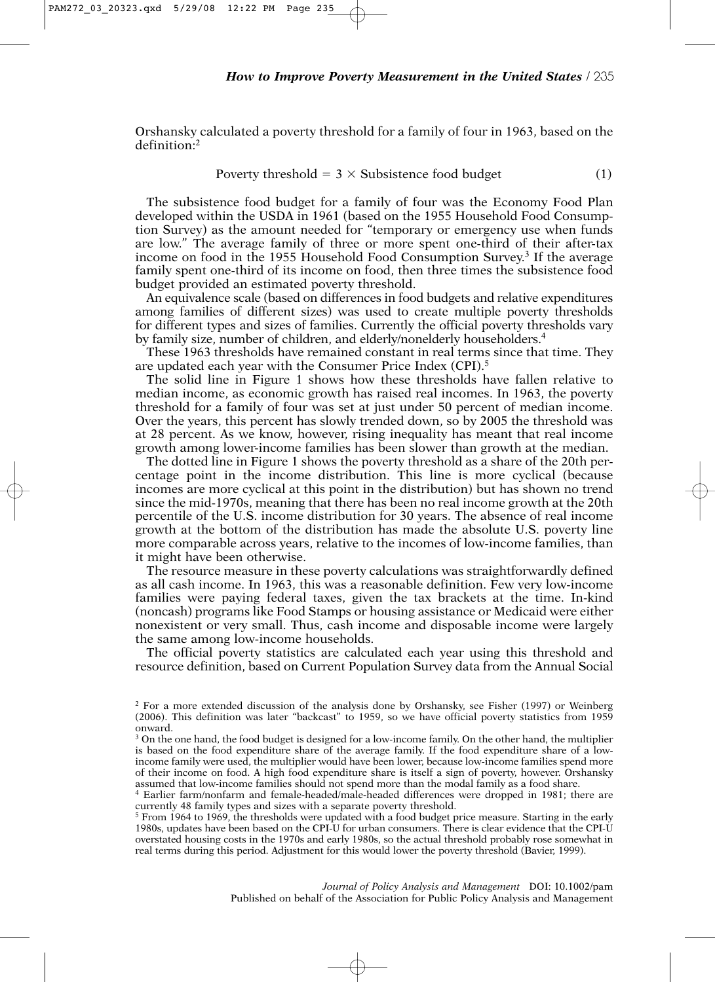Orshansky calculated a poverty threshold for a family of four in 1963, based on the definition:2

$$
Powerty threshold = 3 \times Subsistence food budget \tag{1}
$$

The subsistence food budget for a family of four was the Economy Food Plan developed within the USDA in 1961 (based on the 1955 Household Food Consumption Survey) as the amount needed for "temporary or emergency use when funds are low." The average family of three or more spent one-third of their after-tax income on food in the 1955 Household Food Consumption Survey.3 If the average family spent one-third of its income on food, then three times the subsistence food budget provided an estimated poverty threshold.

An equivalence scale (based on differences in food budgets and relative expenditures among families of different sizes) was used to create multiple poverty thresholds for different types and sizes of families. Currently the official poverty thresholds vary by family size, number of children, and elderly/nonelderly householders.4

These 1963 thresholds have remained constant in real terms since that time. They are updated each year with the Consumer Price Index (CPI).5

The solid line in Figure 1 shows how these thresholds have fallen relative to median income, as economic growth has raised real incomes. In 1963, the poverty threshold for a family of four was set at just under 50 percent of median income. Over the years, this percent has slowly trended down, so by 2005 the threshold was at 28 percent. As we know, however, rising inequality has meant that real income growth among lower-income families has been slower than growth at the median.

The dotted line in Figure 1 shows the poverty threshold as a share of the 20th percentage point in the income distribution. This line is more cyclical (because incomes are more cyclical at this point in the distribution) but has shown no trend since the mid-1970s, meaning that there has been no real income growth at the 20th percentile of the U.S. income distribution for 30 years. The absence of real income growth at the bottom of the distribution has made the absolute U.S. poverty line more comparable across years, relative to the incomes of low-income families, than it might have been otherwise.

The resource measure in these poverty calculations was straightforwardly defined as all cash income. In 1963, this was a reasonable definition. Few very low-income families were paying federal taxes, given the tax brackets at the time. In-kind (noncash) programs like Food Stamps or housing assistance or Medicaid were either nonexistent or very small. Thus, cash income and disposable income were largely the same among low-income households.

The official poverty statistics are calculated each year using this threshold and resource definition, based on Current Population Survey data from the Annual Social

<sup>5</sup> From 1964 to 1969, the thresholds were updated with a food budget price measure. Starting in the early 1980s, updates have been based on the CPI-U for urban consumers. There is clear evidence that the CPI-U overstated housing costs in the 1970s and early 1980s, so the actual threshold probably rose somewhat in real terms during this period. Adjustment for this would lower the poverty threshold (Bavier, 1999).

<sup>2</sup> For a more extended discussion of the analysis done by Orshansky, see Fisher (1997) or Weinberg (2006). This definition was later "backcast" to 1959, so we have official poverty statistics from 1959 onward.

<sup>&</sup>lt;sup>3</sup> On the one hand, the food budget is designed for a low-income family. On the other hand, the multiplier is based on the food expenditure share of the average family. If the food expenditure share of a lowincome family were used, the multiplier would have been lower, because low-income families spend more of their income on food. A high food expenditure share is itself a sign of poverty, however. Orshansky assumed that low-income families should not spend more than the modal family as a food share.

<sup>4</sup> Earlier farm/nonfarm and female-headed/male-headed differences were dropped in 1981; there are currently 48 family types and sizes with a separate poverty threshold.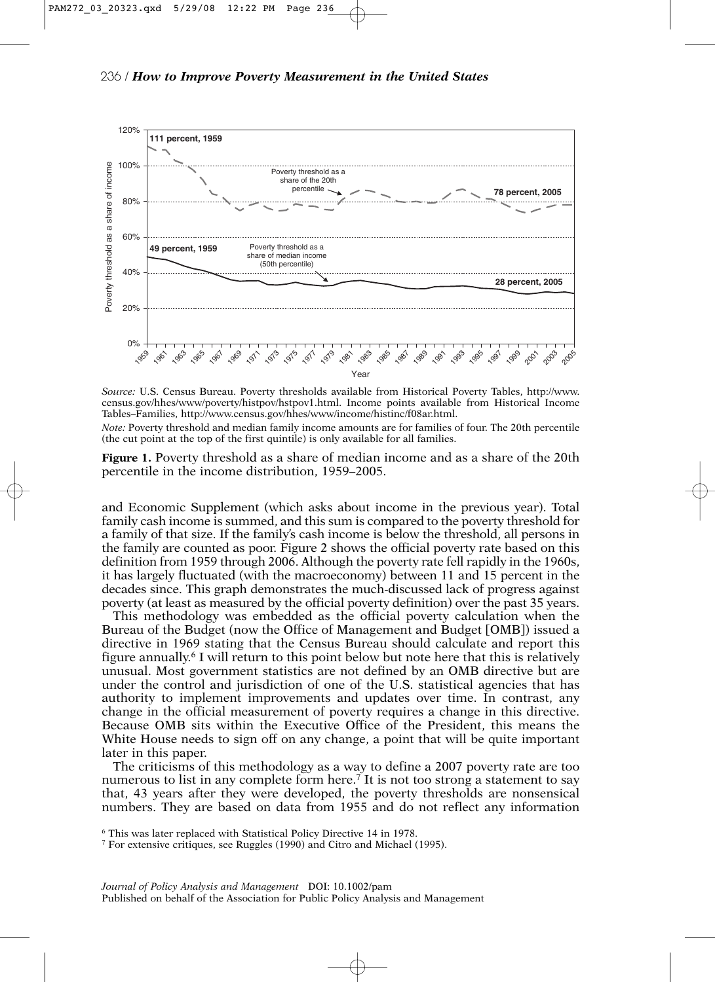

*Source:* U.S. Census Bureau. Poverty thresholds available from Historical Poverty Tables, http://www. census.gov/hhes/www/poverty/histpov/hstpov1.html. Income points available from Historical Income Tables–Families, http://www.census.gov/hhes/www/income/histinc/f08ar.html.

*Note:* Poverty threshold and median family income amounts are for families of four. The 20th percentile (the cut point at the top of the first quintile) is only available for all families.

**Figure 1.** Poverty threshold as a share of median income and as a share of the 20th percentile in the income distribution, 1959–2005.

and Economic Supplement (which asks about income in the previous year). Total family cash income is summed, and this sum is compared to the poverty threshold for a family of that size. If the family's cash income is below the threshold, all persons in the family are counted as poor. Figure 2 shows the official poverty rate based on this definition from 1959 through 2006. Although the poverty rate fell rapidly in the 1960s, it has largely fluctuated (with the macroeconomy) between 11 and 15 percent in the decades since. This graph demonstrates the much-discussed lack of progress against poverty (at least as measured by the official poverty definition) over the past 35 years.

This methodology was embedded as the official poverty calculation when the Bureau of the Budget (now the Office of Management and Budget [OMB]) issued a directive in 1969 stating that the Census Bureau should calculate and report this figure annually.<sup>6</sup> I will return to this point below but note here that this is relatively unusual. Most government statistics are not defined by an OMB directive but are under the control and jurisdiction of one of the U.S. statistical agencies that has authority to implement improvements and updates over time. In contrast, any change in the official measurement of poverty requires a change in this directive. Because OMB sits within the Executive Office of the President, this means the White House needs to sign off on any change, a point that will be quite important later in this paper.

The criticisms of this methodology as a way to define a 2007 poverty rate are too numerous to list in any complete form here.<sup>7</sup> It is not too strong a statement to say that, 43 years after they were developed, the poverty thresholds are nonsensical numbers. They are based on data from 1955 and do not reflect any information

<sup>6</sup> This was later replaced with Statistical Policy Directive 14 in 1978.

<sup>7</sup> For extensive critiques, see Ruggles (1990) and Citro and Michael (1995).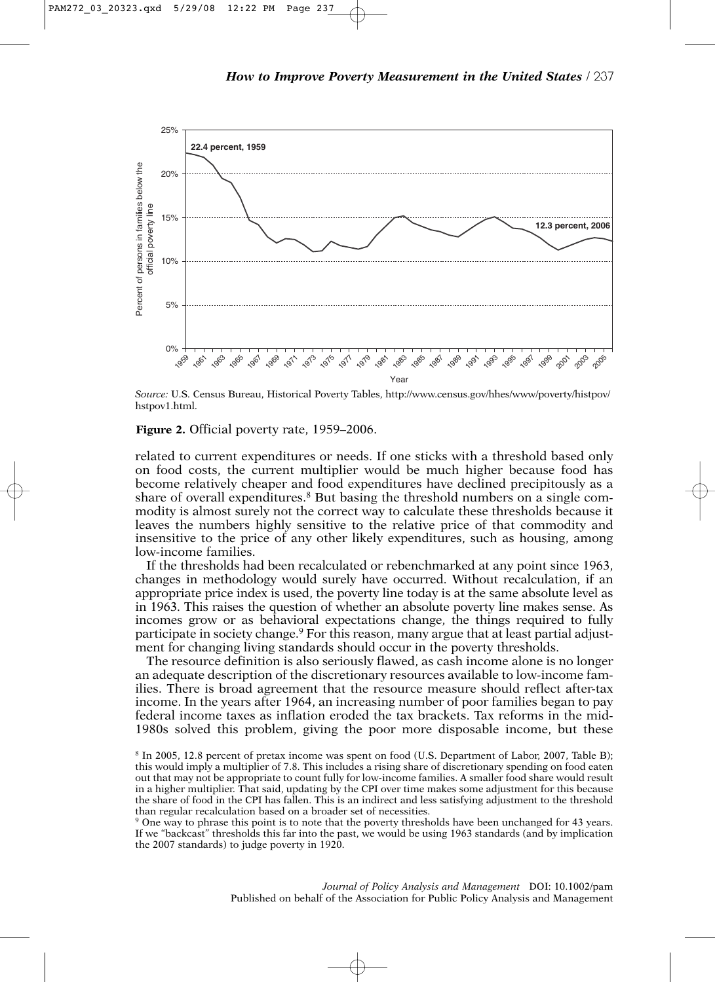

*Source:* U.S. Census Bureau, Historical Poverty Tables, http://www.census.gov/hhes/www/poverty/histpov/ hstpov1.html.

**Figure 2.** Official poverty rate, 1959–2006.

related to current expenditures or needs. If one sticks with a threshold based only on food costs, the current multiplier would be much higher because food has become relatively cheaper and food expenditures have declined precipitously as a share of overall expenditures.<sup>8</sup> But basing the threshold numbers on a single commodity is almost surely not the correct way to calculate these thresholds because it leaves the numbers highly sensitive to the relative price of that commodity and insensitive to the price of any other likely expenditures, such as housing, among low-income families.

If the thresholds had been recalculated or rebenchmarked at any point since 1963, changes in methodology would surely have occurred. Without recalculation, if an appropriate price index is used, the poverty line today is at the same absolute level as in 1963. This raises the question of whether an absolute poverty line makes sense. As incomes grow or as behavioral expectations change, the things required to fully participate in society change.<sup>9</sup> For this reason, many argue that at least partial adjustment for changing living standards should occur in the poverty thresholds.

The resource definition is also seriously flawed, as cash income alone is no longer an adequate description of the discretionary resources available to low-income families. There is broad agreement that the resource measure should reflect after-tax income. In the years after 1964, an increasing number of poor families began to pay federal income taxes as inflation eroded the tax brackets. Tax reforms in the mid-1980s solved this problem, giving the poor more disposable income, but these

<sup>8</sup> In 2005, 12.8 percent of pretax income was spent on food (U.S. Department of Labor, 2007, Table B); this would imply a multiplier of 7.8. This includes a rising share of discretionary spending on food eaten out that may not be appropriate to count fully for low-income families. A smaller food share would result in a higher multiplier. That said, updating by the CPI over time makes some adjustment for this because the share of food in the CPI has fallen. This is an indirect and less satisfying adjustment to the threshold than regular recalculation based on a broader set of necessities.

<sup>9</sup> One way to phrase this point is to note that the poverty thresholds have been unchanged for 43 years. If we "backcast" thresholds this far into the past, we would be using 1963 standards (and by implication the 2007 standards) to judge poverty in 1920.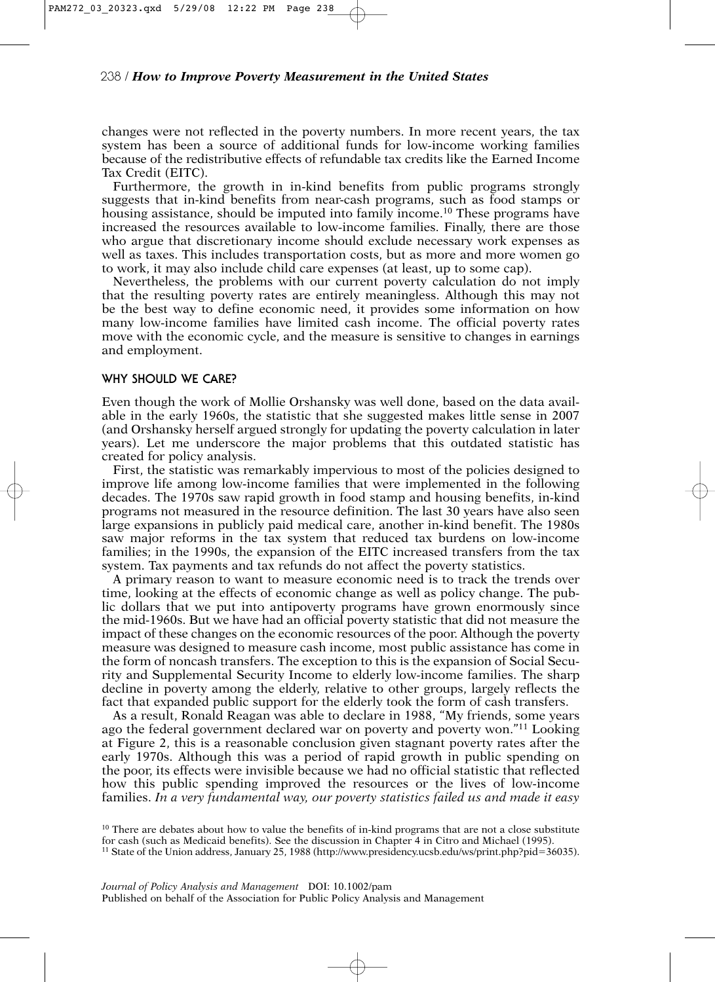changes were not reflected in the poverty numbers. In more recent years, the tax system has been a source of additional funds for low-income working families because of the redistributive effects of refundable tax credits like the Earned Income Tax Credit (EITC).

Furthermore, the growth in in-kind benefits from public programs strongly suggests that in-kind benefits from near-cash programs, such as food stamps or housing assistance, should be imputed into family income.<sup>10</sup> These programs have increased the resources available to low-income families. Finally, there are those who argue that discretionary income should exclude necessary work expenses as well as taxes. This includes transportation costs, but as more and more women go to work, it may also include child care expenses (at least, up to some cap).

Nevertheless, the problems with our current poverty calculation do not imply that the resulting poverty rates are entirely meaningless. Although this may not be the best way to define economic need, it provides some information on how many low-income families have limited cash income. The official poverty rates move with the economic cycle, and the measure is sensitive to changes in earnings and employment.

#### **WHY SHOULD WE CARE?**

Even though the work of Mollie Orshansky was well done, based on the data available in the early 1960s, the statistic that she suggested makes little sense in 2007 (and Orshansky herself argued strongly for updating the poverty calculation in later years). Let me underscore the major problems that this outdated statistic has created for policy analysis.

First, the statistic was remarkably impervious to most of the policies designed to improve life among low-income families that were implemented in the following decades. The 1970s saw rapid growth in food stamp and housing benefits, in-kind programs not measured in the resource definition. The last 30 years have also seen large expansions in publicly paid medical care, another in-kind benefit. The 1980s saw major reforms in the tax system that reduced tax burdens on low-income families; in the 1990s, the expansion of the EITC increased transfers from the tax system. Tax payments and tax refunds do not affect the poverty statistics.

A primary reason to want to measure economic need is to track the trends over time, looking at the effects of economic change as well as policy change. The public dollars that we put into antipoverty programs have grown enormously since the mid-1960s. But we have had an official poverty statistic that did not measure the impact of these changes on the economic resources of the poor. Although the poverty measure was designed to measure cash income, most public assistance has come in the form of noncash transfers. The exception to this is the expansion of Social Security and Supplemental Security Income to elderly low-income families. The sharp decline in poverty among the elderly, relative to other groups, largely reflects the fact that expanded public support for the elderly took the form of cash transfers.

As a result, Ronald Reagan was able to declare in 1988, "My friends, some years ago the federal government declared war on poverty and poverty won."11 Looking at Figure 2, this is a reasonable conclusion given stagnant poverty rates after the early 1970s. Although this was a period of rapid growth in public spending on the poor, its effects were invisible because we had no official statistic that reflected how this public spending improved the resources or the lives of low-income families. *In a very fundamental way, our poverty statistics failed us and made it easy*

 $10$  There are debates about how to value the benefits of in-kind programs that are not a close substitute for cash (such as Medicaid benefits). See the discussion in Chapter 4 in Citro and Michael (1995).

<sup>&</sup>lt;sup>11</sup> State of the Union address, January 25, 1988 (http://www.presidency.ucsb.edu/ws/print.php?pid=36035).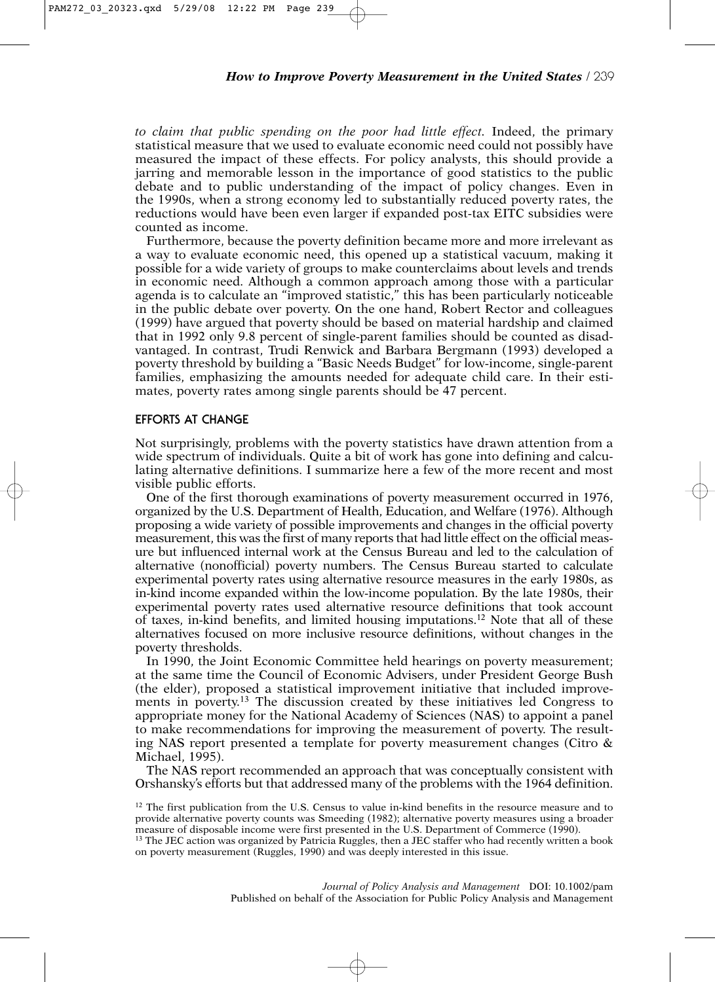*to claim that public spending on the poor had little effect.* Indeed, the primary statistical measure that we used to evaluate economic need could not possibly have measured the impact of these effects. For policy analysts, this should provide a jarring and memorable lesson in the importance of good statistics to the public debate and to public understanding of the impact of policy changes. Even in the 1990s, when a strong economy led to substantially reduced poverty rates, the reductions would have been even larger if expanded post-tax EITC subsidies were counted as income.

Furthermore, because the poverty definition became more and more irrelevant as a way to evaluate economic need, this opened up a statistical vacuum, making it possible for a wide variety of groups to make counterclaims about levels and trends in economic need. Although a common approach among those with a particular agenda is to calculate an "improved statistic," this has been particularly noticeable in the public debate over poverty. On the one hand, Robert Rector and colleagues (1999) have argued that poverty should be based on material hardship and claimed that in 1992 only 9.8 percent of single-parent families should be counted as disadvantaged. In contrast, Trudi Renwick and Barbara Bergmann (1993) developed a poverty threshold by building a "Basic Needs Budget" for low-income, single-parent families, emphasizing the amounts needed for adequate child care. In their estimates, poverty rates among single parents should be 47 percent.

# **EFFORTS AT CHANGE**

Not surprisingly, problems with the poverty statistics have drawn attention from a wide spectrum of individuals. Quite a bit of work has gone into defining and calculating alternative definitions. I summarize here a few of the more recent and most visible public efforts.

One of the first thorough examinations of poverty measurement occurred in 1976, organized by the U.S. Department of Health, Education, and Welfare (1976). Although proposing a wide variety of possible improvements and changes in the official poverty measurement, this was the first of many reports that had little effect on the official measure but influenced internal work at the Census Bureau and led to the calculation of alternative (nonofficial) poverty numbers. The Census Bureau started to calculate experimental poverty rates using alternative resource measures in the early 1980s, as in-kind income expanded within the low-income population. By the late 1980s, their experimental poverty rates used alternative resource definitions that took account of taxes, in-kind benefits, and limited housing imputations.12 Note that all of these alternatives focused on more inclusive resource definitions, without changes in the poverty thresholds.

In 1990, the Joint Economic Committee held hearings on poverty measurement; at the same time the Council of Economic Advisers, under President George Bush (the elder), proposed a statistical improvement initiative that included improvements in poverty.13 The discussion created by these initiatives led Congress to appropriate money for the National Academy of Sciences (NAS) to appoint a panel to make recommendations for improving the measurement of poverty. The resulting NAS report presented a template for poverty measurement changes (Citro & Michael, 1995).

The NAS report recommended an approach that was conceptually consistent with Orshansky's efforts but that addressed many of the problems with the 1964 definition.

<sup>&</sup>lt;sup>12</sup> The first publication from the U.S. Census to value in-kind benefits in the resource measure and to provide alternative poverty counts was Smeeding (1982); alternative poverty measures using a broader measure of disposable income were first presented in the U.S. Department of Commerce (1990).

<sup>&</sup>lt;sup>13</sup> The JEC action was organized by Patricia Ruggles, then a JEC staffer who had recently written a book on poverty measurement (Ruggles, 1990) and was deeply interested in this issue.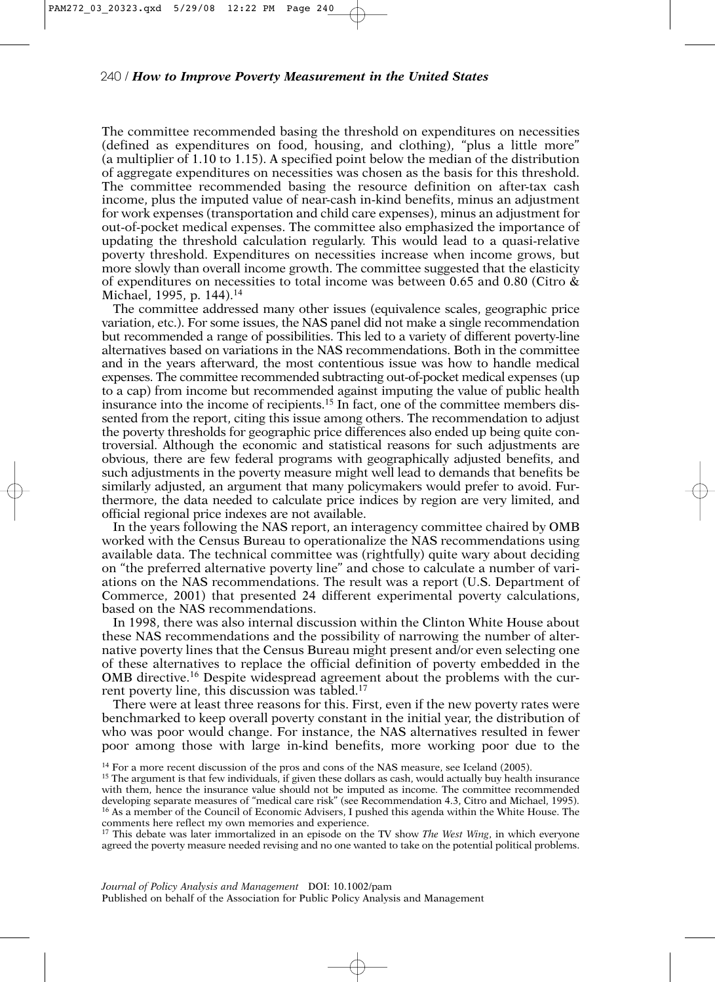The committee recommended basing the threshold on expenditures on necessities (defined as expenditures on food, housing, and clothing), "plus a little more" (a multiplier of 1.10 to 1.15). A specified point below the median of the distribution of aggregate expenditures on necessities was chosen as the basis for this threshold. The committee recommended basing the resource definition on after-tax cash income, plus the imputed value of near-cash in-kind benefits, minus an adjustment for work expenses (transportation and child care expenses), minus an adjustment for out-of-pocket medical expenses. The committee also emphasized the importance of updating the threshold calculation regularly. This would lead to a quasi-relative poverty threshold. Expenditures on necessities increase when income grows, but more slowly than overall income growth. The committee suggested that the elasticity of expenditures on necessities to total income was between 0.65 and 0.80 (Citro & Michael, 1995, p. 144).<sup>14</sup>

The committee addressed many other issues (equivalence scales, geographic price variation, etc.). For some issues, the NAS panel did not make a single recommendation but recommended a range of possibilities. This led to a variety of different poverty-line alternatives based on variations in the NAS recommendations. Both in the committee and in the years afterward, the most contentious issue was how to handle medical expenses. The committee recommended subtracting out-of-pocket medical expenses (up to a cap) from income but recommended against imputing the value of public health insurance into the income of recipients.15 In fact, one of the committee members dissented from the report, citing this issue among others. The recommendation to adjust the poverty thresholds for geographic price differences also ended up being quite controversial. Although the economic and statistical reasons for such adjustments are obvious, there are few federal programs with geographically adjusted benefits, and such adjustments in the poverty measure might well lead to demands that benefits be similarly adjusted, an argument that many policymakers would prefer to avoid. Furthermore, the data needed to calculate price indices by region are very limited, and official regional price indexes are not available.

In the years following the NAS report, an interagency committee chaired by OMB worked with the Census Bureau to operationalize the NAS recommendations using available data. The technical committee was (rightfully) quite wary about deciding on "the preferred alternative poverty line" and chose to calculate a number of variations on the NAS recommendations. The result was a report (U.S. Department of Commerce, 2001) that presented 24 different experimental poverty calculations, based on the NAS recommendations.

In 1998, there was also internal discussion within the Clinton White House about these NAS recommendations and the possibility of narrowing the number of alternative poverty lines that the Census Bureau might present and/or even selecting one of these alternatives to replace the official definition of poverty embedded in the OMB directive.16 Despite widespread agreement about the problems with the current poverty line, this discussion was tabled.17

There were at least three reasons for this. First, even if the new poverty rates were benchmarked to keep overall poverty constant in the initial year, the distribution of who was poor would change. For instance, the NAS alternatives resulted in fewer poor among those with large in-kind benefits, more working poor due to the

<sup>17</sup> This debate was later immortalized in an episode on the TV show *The West Wing*, in which everyone agreed the poverty measure needed revising and no one wanted to take on the potential political problems.

<sup>&</sup>lt;sup>14</sup> For a more recent discussion of the pros and cons of the NAS measure, see Iceland (2005).

<sup>&</sup>lt;sup>15</sup> The argument is that few individuals, if given these dollars as cash, would actually buy health insurance with them, hence the insurance value should not be imputed as income. The committee recommended developing separate measures of "medical care risk" (see Recommendation 4.3, Citro and Michael, 1995). <sup>16</sup> As a member of the Council of Economic Advisers, I pushed this agenda within the White House. The comments here reflect my own memories and experience.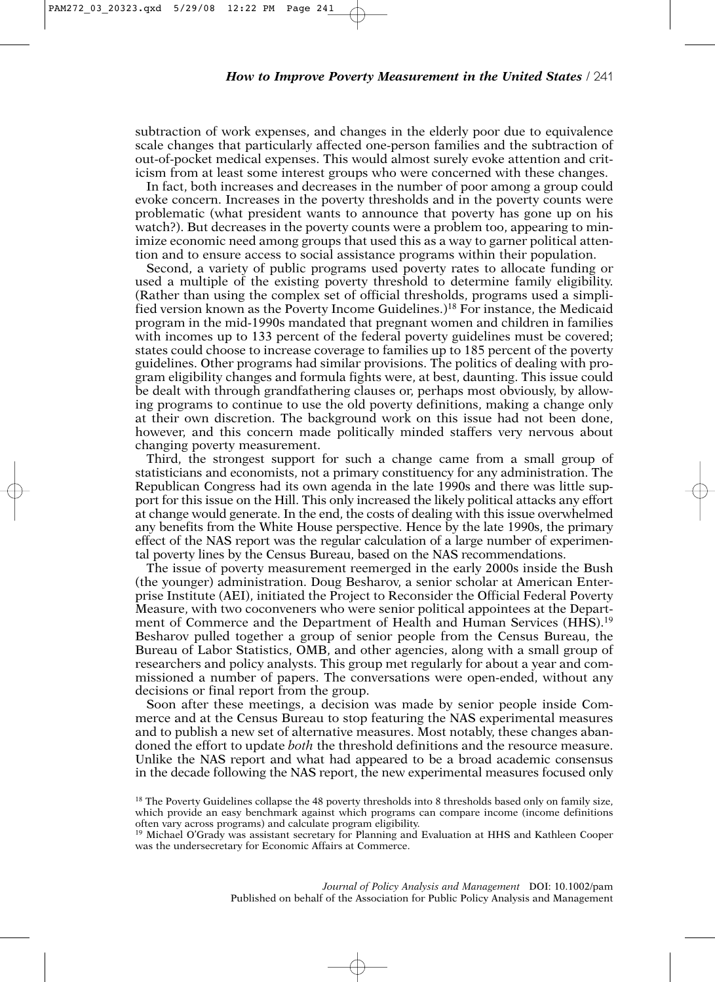subtraction of work expenses, and changes in the elderly poor due to equivalence scale changes that particularly affected one-person families and the subtraction of out-of-pocket medical expenses. This would almost surely evoke attention and criticism from at least some interest groups who were concerned with these changes.

In fact, both increases and decreases in the number of poor among a group could evoke concern. Increases in the poverty thresholds and in the poverty counts were problematic (what president wants to announce that poverty has gone up on his watch?). But decreases in the poverty counts were a problem too, appearing to minimize economic need among groups that used this as a way to garner political attention and to ensure access to social assistance programs within their population.

Second, a variety of public programs used poverty rates to allocate funding or used a multiple of the existing poverty threshold to determine family eligibility. (Rather than using the complex set of official thresholds, programs used a simplified version known as the Poverty Income Guidelines.)18 For instance, the Medicaid program in the mid-1990s mandated that pregnant women and children in families with incomes up to 133 percent of the federal poverty guidelines must be covered; states could choose to increase coverage to families up to 185 percent of the poverty guidelines. Other programs had similar provisions. The politics of dealing with program eligibility changes and formula fights were, at best, daunting. This issue could be dealt with through grandfathering clauses or, perhaps most obviously, by allowing programs to continue to use the old poverty definitions, making a change only at their own discretion. The background work on this issue had not been done, however, and this concern made politically minded staffers very nervous about changing poverty measurement.

Third, the strongest support for such a change came from a small group of statisticians and economists, not a primary constituency for any administration. The Republican Congress had its own agenda in the late 1990s and there was little support for this issue on the Hill. This only increased the likely political attacks any effort at change would generate. In the end, the costs of dealing with this issue overwhelmed any benefits from the White House perspective. Hence by the late 1990s, the primary effect of the NAS report was the regular calculation of a large number of experimental poverty lines by the Census Bureau, based on the NAS recommendations.

The issue of poverty measurement reemerged in the early 2000s inside the Bush (the younger) administration. Doug Besharov, a senior scholar at American Enterprise Institute (AEI), initiated the Project to Reconsider the Official Federal Poverty Measure, with two coconveners who were senior political appointees at the Department of Commerce and the Department of Health and Human Services (HHS).<sup>19</sup> Besharov pulled together a group of senior people from the Census Bureau, the Bureau of Labor Statistics, OMB, and other agencies, along with a small group of researchers and policy analysts. This group met regularly for about a year and commissioned a number of papers. The conversations were open-ended, without any decisions or final report from the group.

Soon after these meetings, a decision was made by senior people inside Commerce and at the Census Bureau to stop featuring the NAS experimental measures and to publish a new set of alternative measures. Most notably, these changes abandoned the effort to update *both* the threshold definitions and the resource measure. Unlike the NAS report and what had appeared to be a broad academic consensus in the decade following the NAS report, the new experimental measures focused only

<sup>&</sup>lt;sup>18</sup> The Poverty Guidelines collapse the 48 poverty thresholds into 8 thresholds based only on family size, which provide an easy benchmark against which programs can compare income (income definitions often vary across programs) and calculate program eligibility.

<sup>19</sup> Michael O'Grady was assistant secretary for Planning and Evaluation at HHS and Kathleen Cooper was the undersecretary for Economic Affairs at Commerce.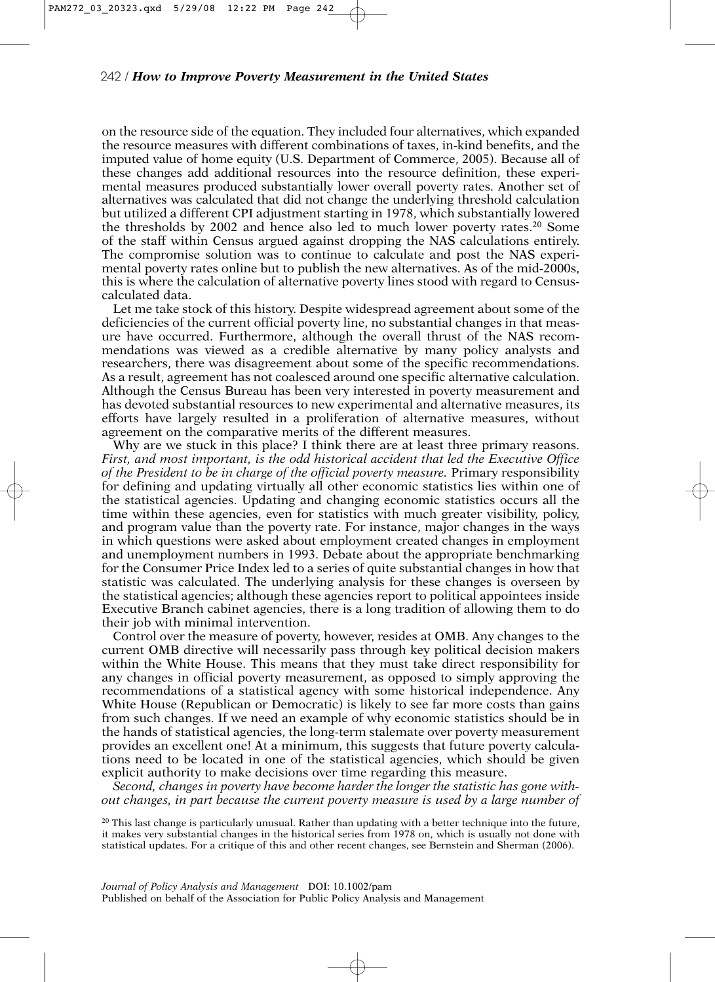on the resource side of the equation. They included four alternatives, which expanded the resource measures with different combinations of taxes, in-kind benefits, and the imputed value of home equity (U.S. Department of Commerce, 2005). Because all of these changes add additional resources into the resource definition, these experimental measures produced substantially lower overall poverty rates. Another set of alternatives was calculated that did not change the underlying threshold calculation but utilized a different CPI adjustment starting in 1978, which substantially lowered the thresholds by 2002 and hence also led to much lower poverty rates.<sup>20</sup> Some of the staff within Census argued against dropping the NAS calculations entirely. The compromise solution was to continue to calculate and post the NAS experimental poverty rates online but to publish the new alternatives. As of the mid-2000s, this is where the calculation of alternative poverty lines stood with regard to Censuscalculated data.

Let me take stock of this history. Despite widespread agreement about some of the deficiencies of the current official poverty line, no substantial changes in that measure have occurred. Furthermore, although the overall thrust of the NAS recommendations was viewed as a credible alternative by many policy analysts and researchers, there was disagreement about some of the specific recommendations. As a result, agreement has not coalesced around one specific alternative calculation. Although the Census Bureau has been very interested in poverty measurement and has devoted substantial resources to new experimental and alternative measures, its efforts have largely resulted in a proliferation of alternative measures, without agreement on the comparative merits of the different measures.

Why are we stuck in this place? I think there are at least three primary reasons. *First, and most important, is the odd historical accident that led the Executive Office of the President to be in charge of the official poverty measure.* Primary responsibility for defining and updating virtually all other economic statistics lies within one of the statistical agencies. Updating and changing economic statistics occurs all the time within these agencies, even for statistics with much greater visibility, policy, and program value than the poverty rate. For instance, major changes in the ways in which questions were asked about employment created changes in employment and unemployment numbers in 1993. Debate about the appropriate benchmarking for the Consumer Price Index led to a series of quite substantial changes in how that statistic was calculated. The underlying analysis for these changes is overseen by the statistical agencies; although these agencies report to political appointees inside Executive Branch cabinet agencies, there is a long tradition of allowing them to do their job with minimal intervention.

Control over the measure of poverty, however, resides at OMB. Any changes to the current OMB directive will necessarily pass through key political decision makers within the White House. This means that they must take direct responsibility for any changes in official poverty measurement, as opposed to simply approving the recommendations of a statistical agency with some historical independence. Any White House (Republican or Democratic) is likely to see far more costs than gains from such changes. If we need an example of why economic statistics should be in the hands of statistical agencies, the long-term stalemate over poverty measurement provides an excellent one! At a minimum, this suggests that future poverty calculations need to be located in one of the statistical agencies, which should be given explicit authority to make decisions over time regarding this measure.

*Second, changes in poverty have become harder the longer the statistic has gone without changes, in part because the current poverty measure is used by a large number of*

 $20$  This last change is particularly unusual. Rather than updating with a better technique into the future, it makes very substantial changes in the historical series from 1978 on, which is usually not done with statistical updates. For a critique of this and other recent changes, see Bernstein and Sherman (2006).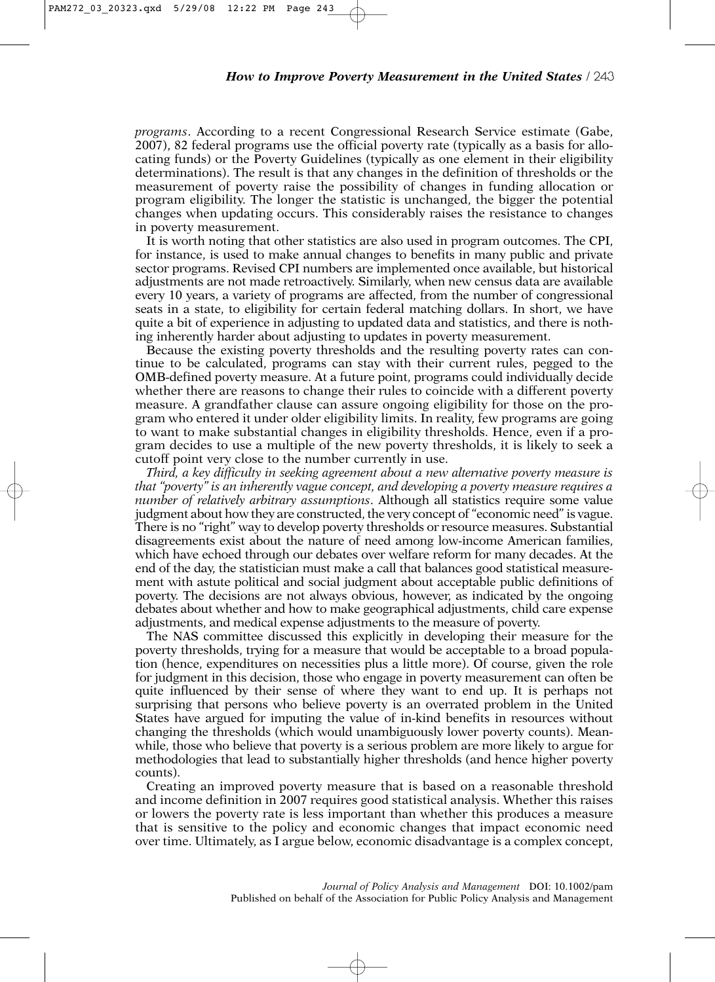*programs*. According to a recent Congressional Research Service estimate (Gabe, 2007), 82 federal programs use the official poverty rate (typically as a basis for allocating funds) or the Poverty Guidelines (typically as one element in their eligibility determinations). The result is that any changes in the definition of thresholds or the measurement of poverty raise the possibility of changes in funding allocation or program eligibility. The longer the statistic is unchanged, the bigger the potential changes when updating occurs. This considerably raises the resistance to changes in poverty measurement.

It is worth noting that other statistics are also used in program outcomes. The CPI, for instance, is used to make annual changes to benefits in many public and private sector programs. Revised CPI numbers are implemented once available, but historical adjustments are not made retroactively. Similarly, when new census data are available every 10 years, a variety of programs are affected, from the number of congressional seats in a state, to eligibility for certain federal matching dollars. In short, we have quite a bit of experience in adjusting to updated data and statistics, and there is nothing inherently harder about adjusting to updates in poverty measurement.

Because the existing poverty thresholds and the resulting poverty rates can continue to be calculated, programs can stay with their current rules, pegged to the OMB-defined poverty measure. At a future point, programs could individually decide whether there are reasons to change their rules to coincide with a different poverty measure. A grandfather clause can assure ongoing eligibility for those on the program who entered it under older eligibility limits. In reality, few programs are going to want to make substantial changes in eligibility thresholds. Hence, even if a program decides to use a multiple of the new poverty thresholds, it is likely to seek a cutoff point very close to the number currently in use.

*Third, a key difficulty in seeking agreement about a new alternative poverty measure is that "poverty" is an inherently vague concept, and developing a poverty measure requires a number of relatively arbitrary assumptions*. Although all statistics require some value judgment about how they are constructed, the very concept of "economic need" is vague. There is no "right" way to develop poverty thresholds or resource measures. Substantial disagreements exist about the nature of need among low-income American families, which have echoed through our debates over welfare reform for many decades. At the end of the day, the statistician must make a call that balances good statistical measurement with astute political and social judgment about acceptable public definitions of poverty. The decisions are not always obvious, however, as indicated by the ongoing debates about whether and how to make geographical adjustments, child care expense adjustments, and medical expense adjustments to the measure of poverty.

The NAS committee discussed this explicitly in developing their measure for the poverty thresholds, trying for a measure that would be acceptable to a broad population (hence, expenditures on necessities plus a little more). Of course, given the role for judgment in this decision, those who engage in poverty measurement can often be quite influenced by their sense of where they want to end up. It is perhaps not surprising that persons who believe poverty is an overrated problem in the United States have argued for imputing the value of in-kind benefits in resources without changing the thresholds (which would unambiguously lower poverty counts). Meanwhile, those who believe that poverty is a serious problem are more likely to argue for methodologies that lead to substantially higher thresholds (and hence higher poverty counts).

Creating an improved poverty measure that is based on a reasonable threshold and income definition in 2007 requires good statistical analysis. Whether this raises or lowers the poverty rate is less important than whether this produces a measure that is sensitive to the policy and economic changes that impact economic need over time. Ultimately, as I argue below, economic disadvantage is a complex concept,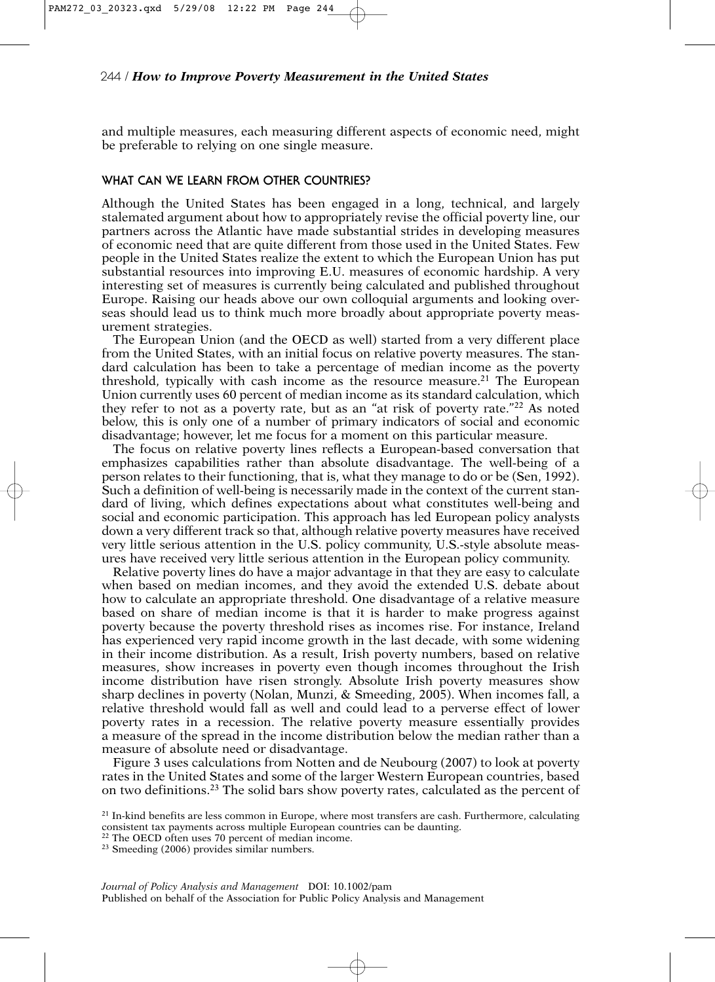and multiple measures, each measuring different aspects of economic need, might be preferable to relying on one single measure.

## **WHAT CAN WE LEARN FROM OTHER COUNTRIES?**

Although the United States has been engaged in a long, technical, and largely stalemated argument about how to appropriately revise the official poverty line, our partners across the Atlantic have made substantial strides in developing measures of economic need that are quite different from those used in the United States. Few people in the United States realize the extent to which the European Union has put substantial resources into improving E.U. measures of economic hardship. A very interesting set of measures is currently being calculated and published throughout Europe. Raising our heads above our own colloquial arguments and looking overseas should lead us to think much more broadly about appropriate poverty measurement strategies.

The European Union (and the OECD as well) started from a very different place from the United States, with an initial focus on relative poverty measures. The standard calculation has been to take a percentage of median income as the poverty threshold, typically with cash income as the resource measure.<sup>21</sup> The European Union currently uses 60 percent of median income as its standard calculation, which they refer to not as a poverty rate, but as an "at risk of poverty rate."22 As noted below, this is only one of a number of primary indicators of social and economic disadvantage; however, let me focus for a moment on this particular measure.

The focus on relative poverty lines reflects a European-based conversation that emphasizes capabilities rather than absolute disadvantage. The well-being of a person relates to their functioning, that is, what they manage to do or be (Sen, 1992). Such a definition of well-being is necessarily made in the context of the current standard of living, which defines expectations about what constitutes well-being and social and economic participation. This approach has led European policy analysts down a very different track so that, although relative poverty measures have received very little serious attention in the U.S. policy community, U.S.-style absolute measures have received very little serious attention in the European policy community.

Relative poverty lines do have a major advantage in that they are easy to calculate when based on median incomes, and they avoid the extended U.S. debate about how to calculate an appropriate threshold. One disadvantage of a relative measure based on share of median income is that it is harder to make progress against poverty because the poverty threshold rises as incomes rise. For instance, Ireland has experienced very rapid income growth in the last decade, with some widening in their income distribution. As a result, Irish poverty numbers, based on relative measures, show increases in poverty even though incomes throughout the Irish income distribution have risen strongly. Absolute Irish poverty measures show sharp declines in poverty (Nolan, Munzi, & Smeeding, 2005). When incomes fall, a relative threshold would fall as well and could lead to a perverse effect of lower poverty rates in a recession. The relative poverty measure essentially provides a measure of the spread in the income distribution below the median rather than a measure of absolute need or disadvantage.

Figure 3 uses calculations from Notten and de Neubourg (2007) to look at poverty rates in the United States and some of the larger Western European countries, based on two definitions.23 The solid bars show poverty rates, calculated as the percent of

<sup>23</sup> Smeeding (2006) provides similar numbers.

 $21$  In-kind benefits are less common in Europe, where most transfers are cash. Furthermore, calculating consistent tax payments across multiple European countries can be daunting.

 $22$  The OECD often uses 70 percent of median income.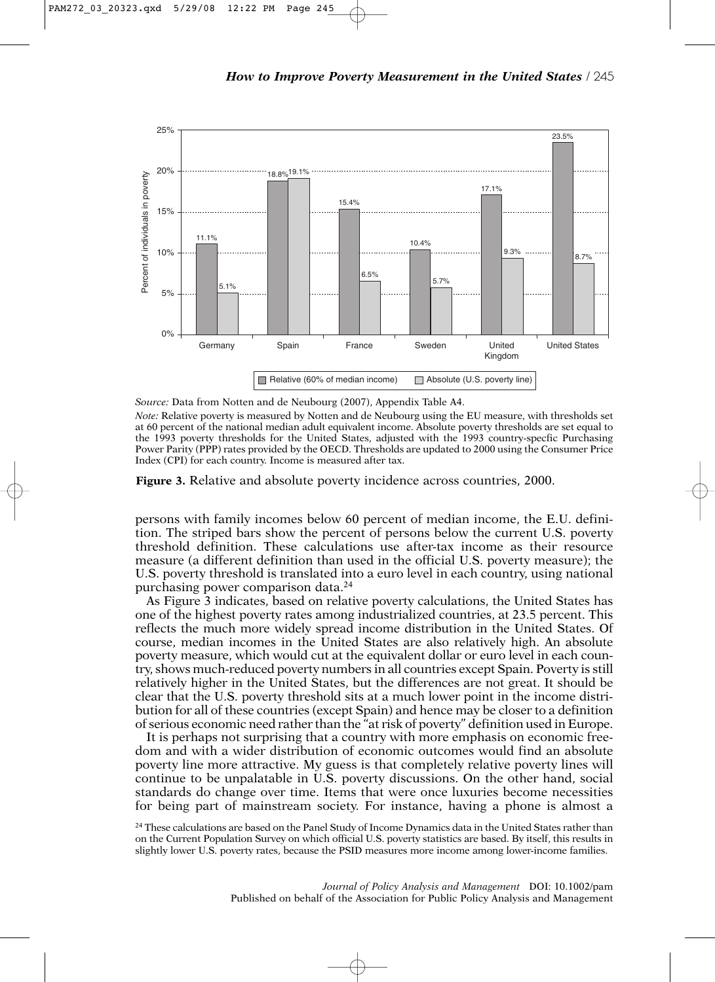

*Source:* Data from Notten and de Neubourg (2007), Appendix Table A4.

*Note:* Relative poverty is measured by Notten and de Neubourg using the EU measure, with thresholds set at 60 percent of the national median adult equivalent income. Absolute poverty thresholds are set equal to the 1993 poverty thresholds for the United States, adjusted with the 1993 country-specfic Purchasing Power Parity (PPP) rates provided by the OECD. Thresholds are updated to 2000 using the Consumer Price Index (CPI) for each country. Income is measured after tax.

**Figure 3.** Relative and absolute poverty incidence across countries, 2000.

persons with family incomes below 60 percent of median income, the E.U. definition. The striped bars show the percent of persons below the current U.S. poverty threshold definition. These calculations use after-tax income as their resource measure (a different definition than used in the official U.S. poverty measure); the U.S. poverty threshold is translated into a euro level in each country, using national purchasing power comparison data.24

As Figure 3 indicates, based on relative poverty calculations, the United States has one of the highest poverty rates among industrialized countries, at 23.5 percent. This reflects the much more widely spread income distribution in the United States. Of course, median incomes in the United States are also relatively high. An absolute poverty measure, which would cut at the equivalent dollar or euro level in each country, shows much-reduced poverty numbers in all countries except Spain. Poverty is still relatively higher in the United States, but the differences are not great. It should be clear that the U.S. poverty threshold sits at a much lower point in the income distribution for all of these countries (except Spain) and hence may be closer to a definition of serious economic need rather than the "at risk of poverty" definition used in Europe.

It is perhaps not surprising that a country with more emphasis on economic freedom and with a wider distribution of economic outcomes would find an absolute poverty line more attractive. My guess is that completely relative poverty lines will continue to be unpalatable in U.S. poverty discussions. On the other hand, social standards do change over time. Items that were once luxuries become necessities for being part of mainstream society. For instance, having a phone is almost a

<sup>24</sup> These calculations are based on the Panel Study of Income Dynamics data in the United States rather than on the Current Population Survey on which official U.S. poverty statistics are based. By itself, this results in slightly lower U.S. poverty rates, because the PSID measures more income among lower-income families.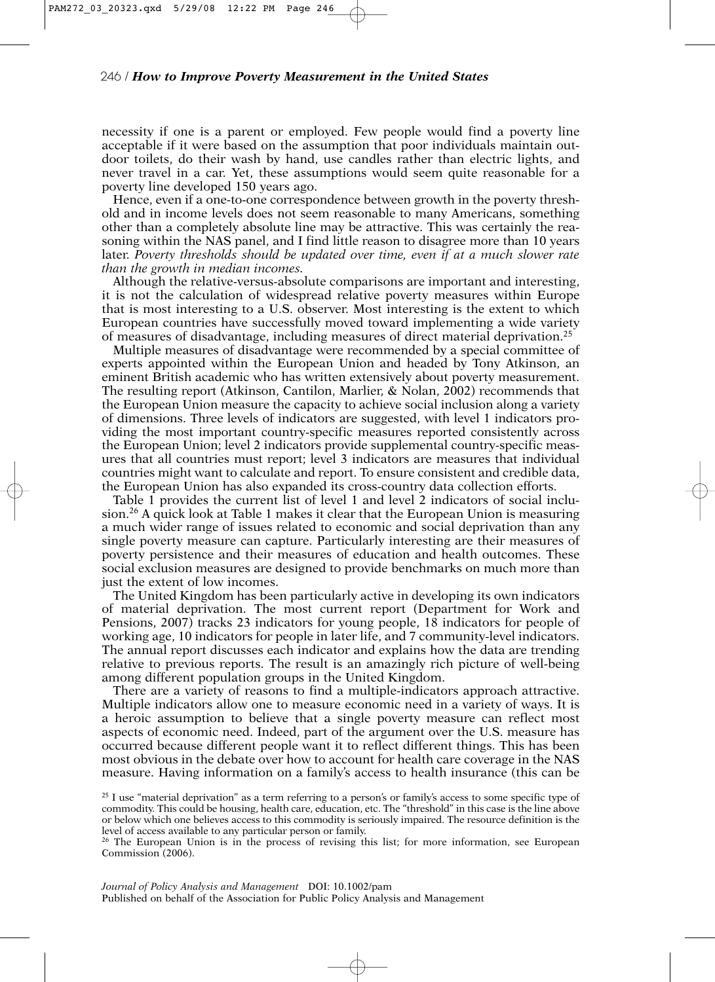necessity if one is a parent or employed. Few people would find a poverty line acceptable if it were based on the assumption that poor individuals maintain outdoor toilets, do their wash by hand, use candles rather than electric lights, and never travel in a car. Yet, these assumptions would seem quite reasonable for a poverty line developed 150 years ago.

Hence, even if a one-to-one correspondence between growth in the poverty threshold and in income levels does not seem reasonable to many Americans, something other than a completely absolute line may be attractive. This was certainly the reasoning within the NAS panel, and I find little reason to disagree more than 10 years later. *Poverty thresholds should be updated over time, even if at a much slower rate than the growth in median incomes.*

Although the relative-versus-absolute comparisons are important and interesting, it is not the calculation of widespread relative poverty measures within Europe that is most interesting to a U.S. observer. Most interesting is the extent to which European countries have successfully moved toward implementing a wide variety of measures of disadvantage, including measures of direct material deprivation.25

Multiple measures of disadvantage were recommended by a special committee of experts appointed within the European Union and headed by Tony Atkinson, an eminent British academic who has written extensively about poverty measurement. The resulting report (Atkinson, Cantilon, Marlier, & Nolan, 2002) recommends that the European Union measure the capacity to achieve social inclusion along a variety of dimensions. Three levels of indicators are suggested, with level 1 indicators providing the most important country-specific measures reported consistently across the European Union; level 2 indicators provide supplemental country-specific measures that all countries must report; level 3 indicators are measures that individual countries might want to calculate and report. To ensure consistent and credible data, the European Union has also expanded its cross-country data collection efforts.

Table 1 provides the current list of level 1 and level 2 indicators of social inclusion.<sup>26</sup> A quick look at Table 1 makes it clear that the European Union is measuring a much wider range of issues related to economic and social deprivation than any single poverty measure can capture. Particularly interesting are their measures of poverty persistence and their measures of education and health outcomes. These social exclusion measures are designed to provide benchmarks on much more than just the extent of low incomes.

The United Kingdom has been particularly active in developing its own indicators of material deprivation. The most current report (Department for Work and Pensions, 2007) tracks 23 indicators for young people, 18 indicators for people of working age, 10 indicators for people in later life, and 7 community-level indicators. The annual report discusses each indicator and explains how the data are trending relative to previous reports. The result is an amazingly rich picture of well-being among different population groups in the United Kingdom.

There are a variety of reasons to find a multiple-indicators approach attractive. Multiple indicators allow one to measure economic need in a variety of ways. It is a heroic assumption to believe that a single poverty measure can reflect most aspects of economic need. Indeed, part of the argument over the U.S. measure has occurred because different people want it to reflect different things. This has been most obvious in the debate over how to account for health care coverage in the NAS measure. Having information on a family's access to health insurance (this can be

 $26$  The European Union is in the process of revising this list; for more information, see European Commission (2006).

 $25$  I use "material deprivation" as a term referring to a person's or family's access to some specific type of commodity. This could be housing, health care, education, etc. The "threshold" in this case is the line above or below which one believes access to this commodity is seriously impaired. The resource definition is the level of access available to any particular person or family.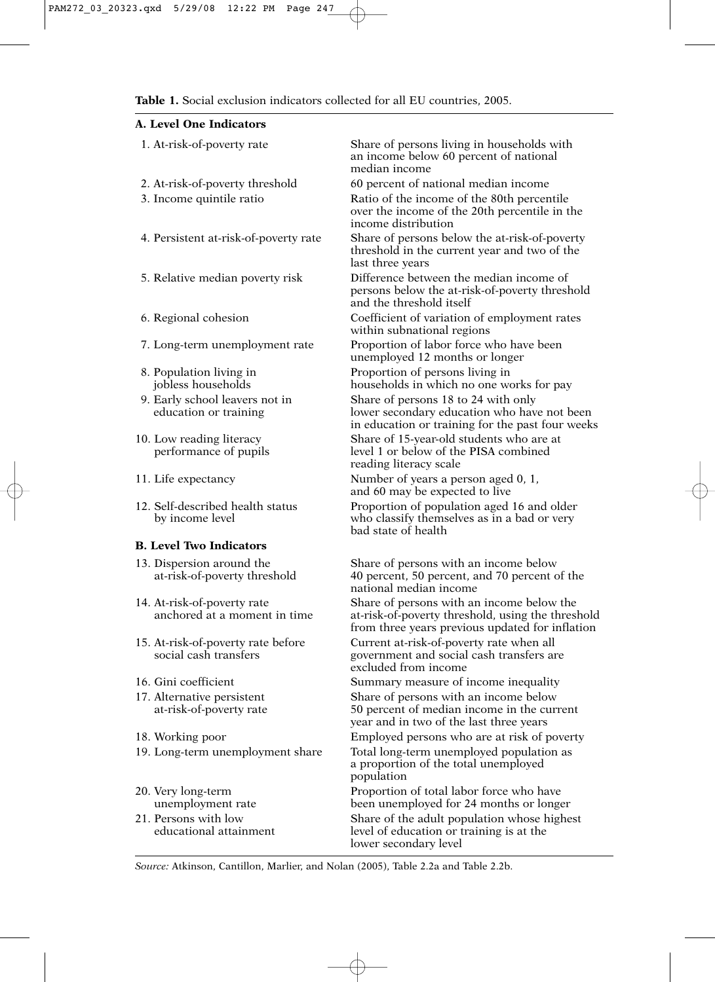# **A. Level One Indicators**

|                                | 1. At-risk-of-poverty rate                                  | Share of persons living in households with<br>an income below 60 percent of national<br>median income                                             |
|--------------------------------|-------------------------------------------------------------|---------------------------------------------------------------------------------------------------------------------------------------------------|
|                                | 2. At-risk-of-poverty threshold                             | 60 percent of national median income                                                                                                              |
|                                | 3. Income quintile ratio                                    | Ratio of the income of the 80th percentile<br>over the income of the 20th percentile in the<br>income distribution                                |
|                                | 4. Persistent at-risk-of-poverty rate                       | Share of persons below the at-risk-of-poverty<br>threshold in the current year and two of the<br>last three years                                 |
|                                | 5. Relative median poverty risk                             | Difference between the median income of<br>persons below the at-risk-of-poverty threshold<br>and the threshold itself                             |
|                                | 6. Regional cohesion                                        | Coefficient of variation of employment rates<br>within subnational regions                                                                        |
|                                | 7. Long-term unemployment rate                              | Proportion of labor force who have been<br>unemployed 12 months or longer                                                                         |
|                                | 8. Population living in                                     | Proportion of persons living in                                                                                                                   |
|                                | jobless households                                          | households in which no one works for pay                                                                                                          |
|                                | 9. Early school leavers not in<br>education or training     | Share of persons 18 to 24 with only<br>lower secondary education who have not been<br>in education or training for the past four weeks            |
|                                | 10. Low reading literacy<br>performance of pupils           | Share of 15-year-old students who are at<br>level 1 or below of the PISA combined<br>reading literacy scale                                       |
|                                | 11. Life expectancy                                         | Number of years a person aged 0, 1,<br>and 60 may be expected to live                                                                             |
|                                | 12. Self-described health status<br>by income level         | Proportion of population aged 16 and older<br>who classify themselves as in a bad or very<br>bad state of health                                  |
| <b>B. Level Two Indicators</b> |                                                             |                                                                                                                                                   |
|                                | 13. Dispersion around the<br>at-risk-of-poverty threshold   | Share of persons with an income below<br>40 percent, 50 percent, and 70 percent of the<br>national median income                                  |
|                                | 14. At-risk-of-poverty rate<br>anchored at a moment in time | Share of persons with an income below the<br>at-risk-of-poverty threshold, using the threshold<br>from three years previous updated for inflation |
|                                | 15. At-risk-of-poverty rate before<br>social cash transfers | Current at-risk-of-poverty rate when all<br>government and social cash transfers are<br>excluded from income                                      |
|                                | 16. Gini coefficient                                        | Summary measure of income inequality                                                                                                              |
|                                | 17. Alternative persistent<br>at-risk-of-poverty rate       | Share of persons with an income below<br>50 percent of median income in the current<br>year and in two of the last three years                    |
|                                | 18. Working poor                                            | Employed persons who are at risk of poverty                                                                                                       |
|                                | 19. Long-term unemployment share                            | Total long-term unemployed population as<br>a proportion of the total unemployed<br>population                                                    |
|                                | 20. Very long-term<br>unemployment rate                     | Proportion of total labor force who have<br>been unemployed for 24 months or longer                                                               |
|                                | 21. Persons with low                                        | Share of the adult population whose highest                                                                                                       |
|                                | educational attainment                                      | level of education or training is at the<br>lower secondary level                                                                                 |

*Source:* Atkinson, Cantillon, Marlier, and Nolan (2005), Table 2.2a and Table 2.2b.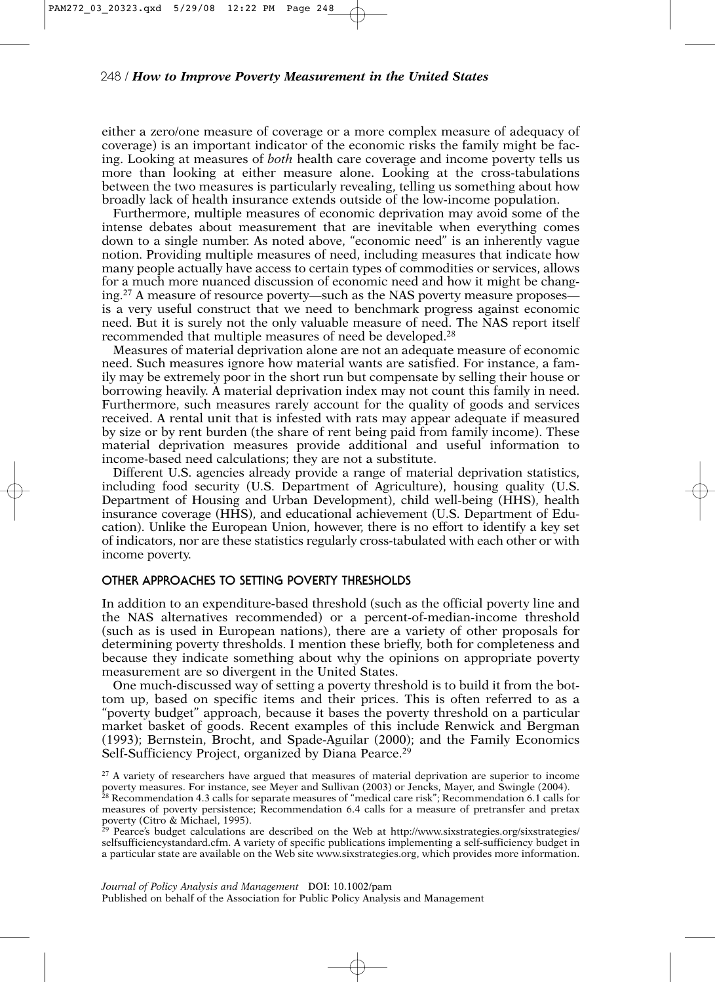either a zero/one measure of coverage or a more complex measure of adequacy of coverage) is an important indicator of the economic risks the family might be facing. Looking at measures of *both* health care coverage and income poverty tells us more than looking at either measure alone. Looking at the cross-tabulations between the two measures is particularly revealing, telling us something about how broadly lack of health insurance extends outside of the low-income population.

Furthermore, multiple measures of economic deprivation may avoid some of the intense debates about measurement that are inevitable when everything comes down to a single number. As noted above, "economic need" is an inherently vague notion. Providing multiple measures of need, including measures that indicate how many people actually have access to certain types of commodities or services, allows for a much more nuanced discussion of economic need and how it might be changing.27 A measure of resource poverty—such as the NAS poverty measure proposes is a very useful construct that we need to benchmark progress against economic need. But it is surely not the only valuable measure of need. The NAS report itself recommended that multiple measures of need be developed.28

Measures of material deprivation alone are not an adequate measure of economic need. Such measures ignore how material wants are satisfied. For instance, a family may be extremely poor in the short run but compensate by selling their house or borrowing heavily. A material deprivation index may not count this family in need. Furthermore, such measures rarely account for the quality of goods and services received. A rental unit that is infested with rats may appear adequate if measured by size or by rent burden (the share of rent being paid from family income). These material deprivation measures provide additional and useful information to income-based need calculations; they are not a substitute.

Different U.S. agencies already provide a range of material deprivation statistics, including food security (U.S. Department of Agriculture), housing quality (U.S. Department of Housing and Urban Development), child well-being (HHS), health insurance coverage (HHS), and educational achievement (U.S. Department of Education). Unlike the European Union, however, there is no effort to identify a key set of indicators, nor are these statistics regularly cross-tabulated with each other or with income poverty.

#### **OTHER APPROACHES TO SETTING POVERTY THRESHOLDS**

In addition to an expenditure-based threshold (such as the official poverty line and the NAS alternatives recommended) or a percent-of-median-income threshold (such as is used in European nations), there are a variety of other proposals for determining poverty thresholds. I mention these briefly, both for completeness and because they indicate something about why the opinions on appropriate poverty measurement are so divergent in the United States.

One much-discussed way of setting a poverty threshold is to build it from the bottom up, based on specific items and their prices. This is often referred to as a "poverty budget" approach, because it bases the poverty threshold on a particular market basket of goods. Recent examples of this include Renwick and Bergman (1993); Bernstein, Brocht, and Spade-Aguilar (2000); and the Family Economics Self-Sufficiency Project, organized by Diana Pearce.<sup>29</sup>

 $29$  Pearce's budget calculations are described on the Web at http://www.sixstrategies.org/sixstrategies/ selfsufficiencystandard.cfm. A variety of specific publications implementing a self-sufficiency budget in a particular state are available on the Web site www.sixstrategies.org, which provides more information.

<sup>&</sup>lt;sup>27</sup> A variety of researchers have argued that measures of material deprivation are superior to income poverty measures. For instance, see Meyer and Sullivan (2003) or Jencks, Mayer, and Swingle (2004).

<sup>&</sup>lt;sup>28</sup> Recommendation 4.3 calls for separate measures of "medical care risk"; Recommendation 6.1 calls for measures of poverty persistence; Recommendation 6.4 calls for a measure of pretransfer and pretax poverty (Citro & Michael, 1995).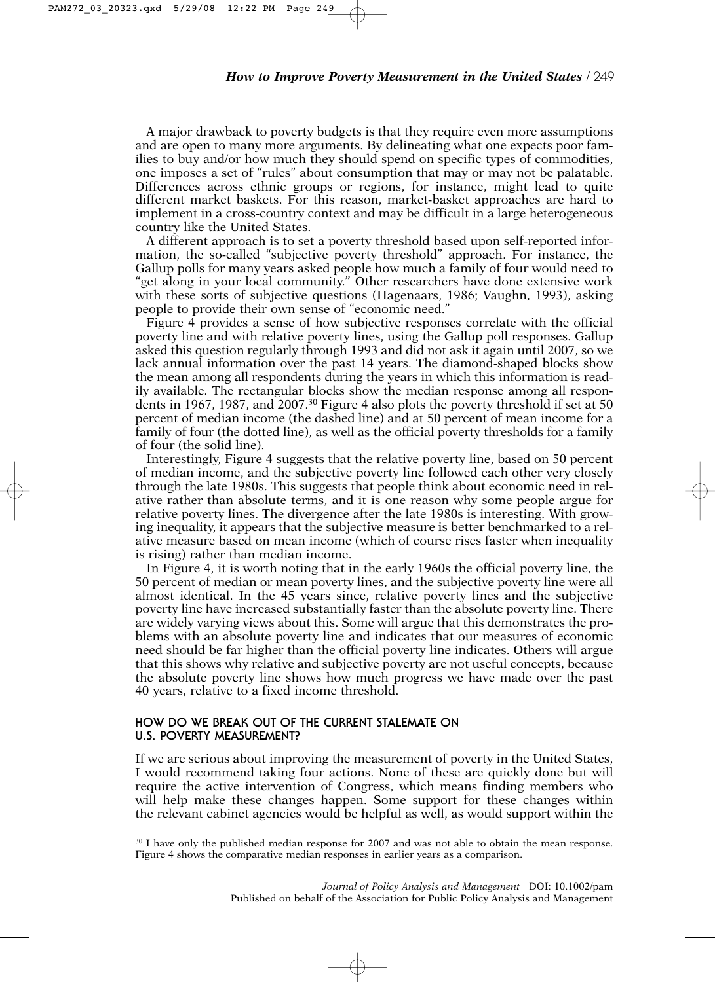A major drawback to poverty budgets is that they require even more assumptions and are open to many more arguments. By delineating what one expects poor families to buy and/or how much they should spend on specific types of commodities, one imposes a set of "rules" about consumption that may or may not be palatable. Differences across ethnic groups or regions, for instance, might lead to quite different market baskets. For this reason, market-basket approaches are hard to implement in a cross-country context and may be difficult in a large heterogeneous country like the United States.

A different approach is to set a poverty threshold based upon self-reported information, the so-called "subjective poverty threshold" approach. For instance, the Gallup polls for many years asked people how much a family of four would need to "get along in your local community." Other researchers have done extensive work with these sorts of subjective questions (Hagenaars, 1986; Vaughn, 1993), asking people to provide their own sense of "economic need."

Figure 4 provides a sense of how subjective responses correlate with the official poverty line and with relative poverty lines, using the Gallup poll responses. Gallup asked this question regularly through 1993 and did not ask it again until 2007, so we lack annual information over the past 14 years. The diamond-shaped blocks show the mean among all respondents during the years in which this information is readily available. The rectangular blocks show the median response among all respondents in 1967, 1987, and 2007.<sup>30</sup> Figure 4 also plots the poverty threshold if set at 50 percent of median income (the dashed line) and at 50 percent of mean income for a family of four (the dotted line), as well as the official poverty thresholds for a family of four (the solid line).

Interestingly, Figure 4 suggests that the relative poverty line, based on 50 percent of median income, and the subjective poverty line followed each other very closely through the late 1980s. This suggests that people think about economic need in relative rather than absolute terms, and it is one reason why some people argue for relative poverty lines. The divergence after the late 1980s is interesting. With growing inequality, it appears that the subjective measure is better benchmarked to a relative measure based on mean income (which of course rises faster when inequality is rising) rather than median income.

In Figure 4, it is worth noting that in the early 1960s the official poverty line, the 50 percent of median or mean poverty lines, and the subjective poverty line were all almost identical. In the 45 years since, relative poverty lines and the subjective poverty line have increased substantially faster than the absolute poverty line. There are widely varying views about this. Some will argue that this demonstrates the problems with an absolute poverty line and indicates that our measures of economic need should be far higher than the official poverty line indicates. Others will argue that this shows why relative and subjective poverty are not useful concepts, because the absolute poverty line shows how much progress we have made over the past 40 years, relative to a fixed income threshold.

# **HOW DO WE BREAK OUT OF THE CURRENT STALEMATE ON U.S. POVERTY MEASUREMENT?**

If we are serious about improving the measurement of poverty in the United States, I would recommend taking four actions. None of these are quickly done but will require the active intervention of Congress, which means finding members who will help make these changes happen. Some support for these changes within the relevant cabinet agencies would be helpful as well, as would support within the

<sup>30</sup> I have only the published median response for 2007 and was not able to obtain the mean response. Figure 4 shows the comparative median responses in earlier years as a comparison.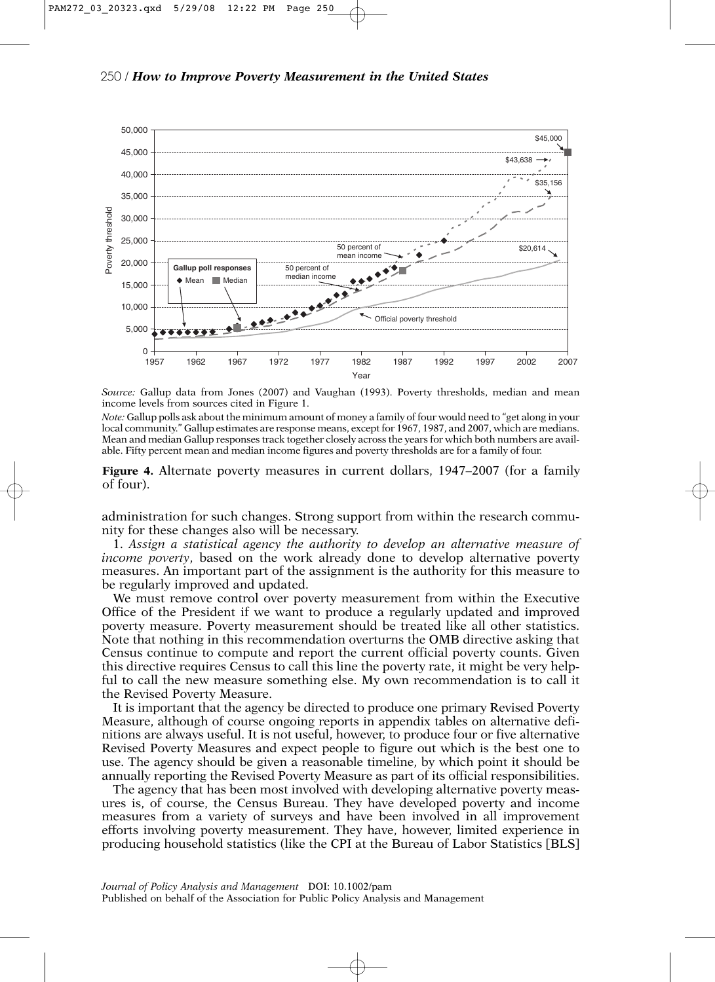

*Source:* Gallup data from Jones (2007) and Vaughan (1993). Poverty thresholds, median and mean income levels from sources cited in Figure 1.

*Note:* Gallup polls ask about the minimum amount of money a family of four would need to "get along in your local community." Gallup estimates are response means, except for 1967, 1987, and 2007, which are medians. Mean and median Gallup responses track together closely across the years for which both numbers are available. Fifty percent mean and median income figures and poverty thresholds are for a family of four.

**Figure 4.** Alternate poverty measures in current dollars, 1947–2007 (for a family of four).

administration for such changes. Strong support from within the research community for these changes also will be necessary.

1. *Assign a statistical agency the authority to develop an alternative measure of income poverty*, based on the work already done to develop alternative poverty measures. An important part of the assignment is the authority for this measure to be regularly improved and updated.

We must remove control over poverty measurement from within the Executive Office of the President if we want to produce a regularly updated and improved poverty measure. Poverty measurement should be treated like all other statistics. Note that nothing in this recommendation overturns the OMB directive asking that Census continue to compute and report the current official poverty counts. Given this directive requires Census to call this line the poverty rate, it might be very helpful to call the new measure something else. My own recommendation is to call it the Revised Poverty Measure.

It is important that the agency be directed to produce one primary Revised Poverty Measure, although of course ongoing reports in appendix tables on alternative definitions are always useful. It is not useful, however, to produce four or five alternative Revised Poverty Measures and expect people to figure out which is the best one to use. The agency should be given a reasonable timeline, by which point it should be annually reporting the Revised Poverty Measure as part of its official responsibilities.

The agency that has been most involved with developing alternative poverty measures is, of course, the Census Bureau. They have developed poverty and income measures from a variety of surveys and have been involved in all improvement efforts involving poverty measurement. They have, however, limited experience in producing household statistics (like the CPI at the Bureau of Labor Statistics [BLS]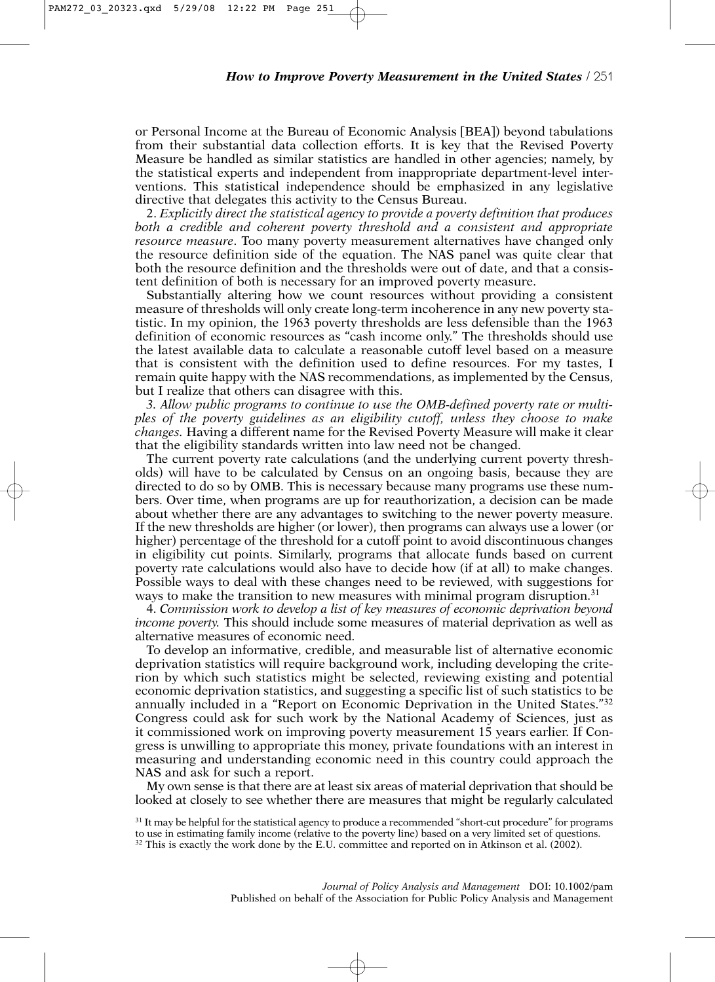or Personal Income at the Bureau of Economic Analysis [BEA]) beyond tabulations from their substantial data collection efforts. It is key that the Revised Poverty Measure be handled as similar statistics are handled in other agencies; namely, by the statistical experts and independent from inappropriate department-level interventions. This statistical independence should be emphasized in any legislative directive that delegates this activity to the Census Bureau.

2. *Explicitly direct the statistical agency to provide a poverty definition that produces both a credible and coherent poverty threshold and a consistent and appropriate resource measure*. Too many poverty measurement alternatives have changed only the resource definition side of the equation. The NAS panel was quite clear that both the resource definition and the thresholds were out of date, and that a consistent definition of both is necessary for an improved poverty measure.

Substantially altering how we count resources without providing a consistent measure of thresholds will only create long-term incoherence in any new poverty statistic. In my opinion, the 1963 poverty thresholds are less defensible than the 1963 definition of economic resources as "cash income only." The thresholds should use the latest available data to calculate a reasonable cutoff level based on a measure that is consistent with the definition used to define resources. For my tastes, I remain quite happy with the NAS recommendations, as implemented by the Census, but I realize that others can disagree with this.

*3. Allow public programs to continue to use the OMB-defined poverty rate or multiples of the poverty guidelines as an eligibility cutoff, unless they choose to make changes.* Having a different name for the Revised Poverty Measure will make it clear that the eligibility standards written into law need not be changed.

The current poverty rate calculations (and the underlying current poverty thresholds) will have to be calculated by Census on an ongoing basis, because they are directed to do so by OMB. This is necessary because many programs use these numbers. Over time, when programs are up for reauthorization, a decision can be made about whether there are any advantages to switching to the newer poverty measure. If the new thresholds are higher (or lower), then programs can always use a lower (or higher) percentage of the threshold for a cutoff point to avoid discontinuous changes in eligibility cut points. Similarly, programs that allocate funds based on current poverty rate calculations would also have to decide how (if at all) to make changes. Possible ways to deal with these changes need to be reviewed, with suggestions for ways to make the transition to new measures with minimal program disruption.<sup>31</sup>

4. *Commission work to develop a list of key measures of economic deprivation beyond income poverty*. This should include some measures of material deprivation as well as alternative measures of economic need.

To develop an informative, credible, and measurable list of alternative economic deprivation statistics will require background work, including developing the criterion by which such statistics might be selected, reviewing existing and potential economic deprivation statistics, and suggesting a specific list of such statistics to be annually included in a "Report on Economic Deprivation in the United States."32 Congress could ask for such work by the National Academy of Sciences, just as it commissioned work on improving poverty measurement 15 years earlier. If Congress is unwilling to appropriate this money, private foundations with an interest in measuring and understanding economic need in this country could approach the NAS and ask for such a report.

My own sense is that there are at least six areas of material deprivation that should be looked at closely to see whether there are measures that might be regularly calculated

<sup>31</sup> It may be helpful for the statistical agency to produce a recommended "short-cut procedure" for programs to use in estimating family income (relative to the poverty line) based on a very limited set of questions.

 $\frac{32 \text{ This is exactly the work done by the E.U. committee and reported on in Atkinson et al. (2002).}$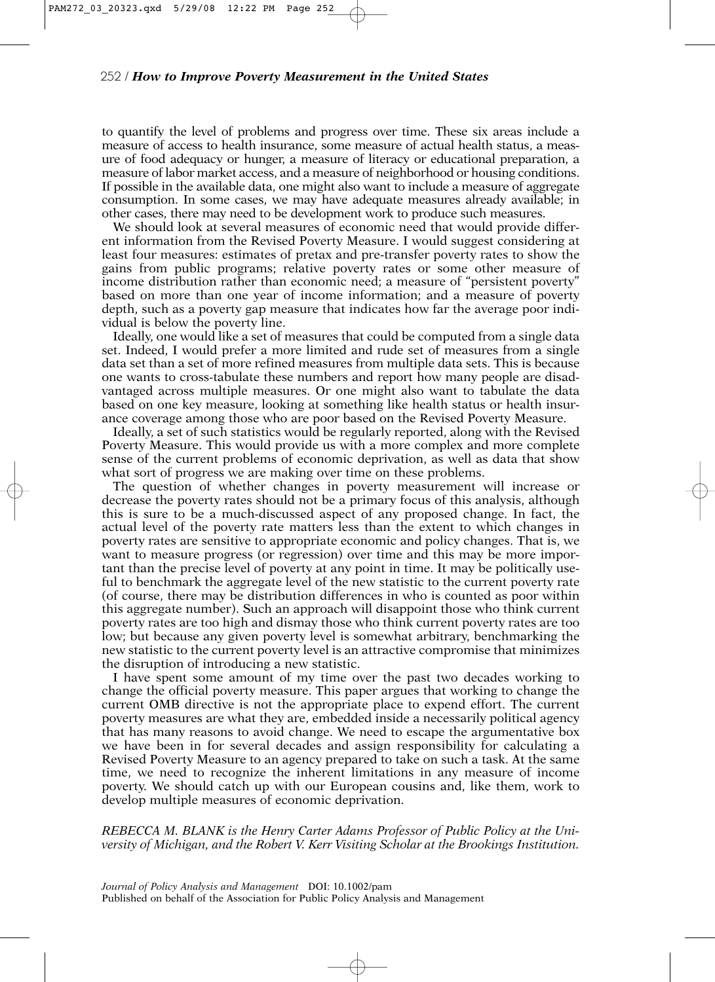to quantify the level of problems and progress over time. These six areas include a measure of access to health insurance, some measure of actual health status, a measure of food adequacy or hunger, a measure of literacy or educational preparation, a measure of labor market access, and a measure of neighborhood or housing conditions. If possible in the available data, one might also want to include a measure of aggregate consumption. In some cases, we may have adequate measures already available; in other cases, there may need to be development work to produce such measures.

We should look at several measures of economic need that would provide different information from the Revised Poverty Measure. I would suggest considering at least four measures: estimates of pretax and pre-transfer poverty rates to show the gains from public programs; relative poverty rates or some other measure of income distribution rather than economic need; a measure of "persistent poverty" based on more than one year of income information; and a measure of poverty depth, such as a poverty gap measure that indicates how far the average poor individual is below the poverty line.

Ideally, one would like a set of measures that could be computed from a single data set. Indeed, I would prefer a more limited and rude set of measures from a single data set than a set of more refined measures from multiple data sets. This is because one wants to cross-tabulate these numbers and report how many people are disadvantaged across multiple measures. Or one might also want to tabulate the data based on one key measure, looking at something like health status or health insurance coverage among those who are poor based on the Revised Poverty Measure.

Ideally, a set of such statistics would be regularly reported, along with the Revised Poverty Measure. This would provide us with a more complex and more complete sense of the current problems of economic deprivation, as well as data that show what sort of progress we are making over time on these problems.

The question of whether changes in poverty measurement will increase or decrease the poverty rates should not be a primary focus of this analysis, although this is sure to be a much-discussed aspect of any proposed change. In fact, the actual level of the poverty rate matters less than the extent to which changes in poverty rates are sensitive to appropriate economic and policy changes. That is, we want to measure progress (or regression) over time and this may be more important than the precise level of poverty at any point in time. It may be politically useful to benchmark the aggregate level of the new statistic to the current poverty rate (of course, there may be distribution differences in who is counted as poor within this aggregate number). Such an approach will disappoint those who think current poverty rates are too high and dismay those who think current poverty rates are too low; but because any given poverty level is somewhat arbitrary, benchmarking the new statistic to the current poverty level is an attractive compromise that minimizes the disruption of introducing a new statistic.

I have spent some amount of my time over the past two decades working to change the official poverty measure. This paper argues that working to change the current OMB directive is not the appropriate place to expend effort. The current poverty measures are what they are, embedded inside a necessarily political agency that has many reasons to avoid change. We need to escape the argumentative box we have been in for several decades and assign responsibility for calculating a Revised Poverty Measure to an agency prepared to take on such a task. At the same time, we need to recognize the inherent limitations in any measure of income poverty. We should catch up with our European cousins and, like them, work to develop multiple measures of economic deprivation.

*REBECCA M. BLANK is the Henry Carter Adams Professor of Public Policy at the University of Michigan, and the Robert V. Kerr Visiting Scholar at the Brookings Institution.*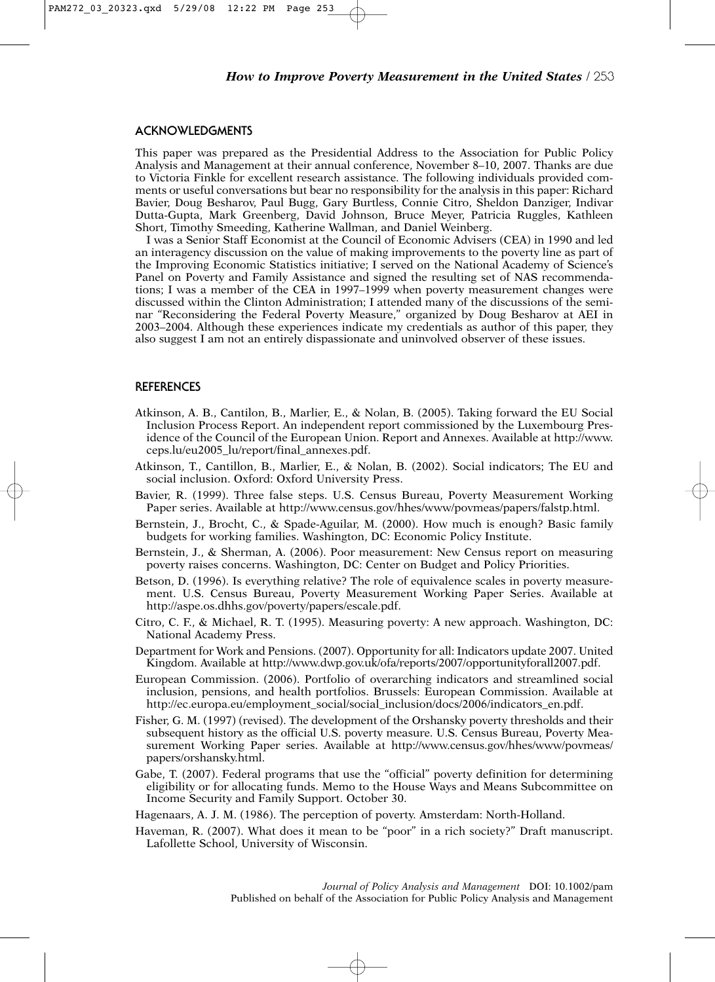# **ACKNOWLEDGMENTS**

This paper was prepared as the Presidential Address to the Association for Public Policy Analysis and Management at their annual conference, November 8–10, 2007. Thanks are due to Victoria Finkle for excellent research assistance. The following individuals provided comments or useful conversations but bear no responsibility for the analysis in this paper: Richard Bavier, Doug Besharov, Paul Bugg, Gary Burtless, Connie Citro, Sheldon Danziger, Indivar Dutta-Gupta, Mark Greenberg, David Johnson, Bruce Meyer, Patricia Ruggles, Kathleen Short, Timothy Smeeding, Katherine Wallman, and Daniel Weinberg.

I was a Senior Staff Economist at the Council of Economic Advisers (CEA) in 1990 and led an interagency discussion on the value of making improvements to the poverty line as part of the Improving Economic Statistics initiative; I served on the National Academy of Science's Panel on Poverty and Family Assistance and signed the resulting set of NAS recommendations; I was a member of the CEA in 1997–1999 when poverty measurement changes were discussed within the Clinton Administration; I attended many of the discussions of the seminar "Reconsidering the Federal Poverty Measure," organized by Doug Besharov at AEI in 2003–2004. Although these experiences indicate my credentials as author of this paper, they also suggest I am not an entirely dispassionate and uninvolved observer of these issues.

#### **REFERENCES**

- Atkinson, A. B., Cantilon, B., Marlier, E., & Nolan, B. (2005). Taking forward the EU Social Inclusion Process Report. An independent report commissioned by the Luxembourg Presidence of the Council of the European Union. Report and Annexes. Available at http://www. ceps.lu/eu2005\_lu/report/final\_annexes.pdf.
- Atkinson, T., Cantillon, B., Marlier, E., & Nolan, B. (2002). Social indicators; The EU and social inclusion. Oxford: Oxford University Press.
- Bavier, R. (1999). Three false steps. U.S. Census Bureau, Poverty Measurement Working Paper series. Available at http://www.census.gov/hhes/www/povmeas/papers/falstp.html.
- Bernstein, J., Brocht, C., & Spade-Aguilar, M. (2000). How much is enough? Basic family budgets for working families. Washington, DC: Economic Policy Institute.
- Bernstein, J., & Sherman, A. (2006). Poor measurement: New Census report on measuring poverty raises concerns. Washington, DC: Center on Budget and Policy Priorities.
- Betson, D. (1996). Is everything relative? The role of equivalence scales in poverty measurement. U.S. Census Bureau, Poverty Measurement Working Paper Series. Available at http://aspe.os.dhhs.gov/poverty/papers/escale.pdf.
- Citro, C. F., & Michael, R. T. (1995). Measuring poverty: A new approach. Washington, DC: National Academy Press.
- Department for Work and Pensions. (2007). Opportunity for all: Indicators update 2007. United Kingdom. Available at http://www.dwp.gov.uk/ofa/reports/2007/opportunityforall2007.pdf.
- European Commission. (2006). Portfolio of overarching indicators and streamlined social inclusion, pensions, and health portfolios. Brussels: European Commission. Available at http://ec.europa.eu/employment\_social/social\_inclusion/docs/2006/indicators\_en.pdf.
- Fisher, G. M. (1997) (revised). The development of the Orshansky poverty thresholds and their subsequent history as the official U.S. poverty measure. U.S. Census Bureau, Poverty Measurement Working Paper series. Available at http://www.census.gov/hhes/www/povmeas/ papers/orshansky.html.
- Gabe, T. (2007). Federal programs that use the "official" poverty definition for determining eligibility or for allocating funds. Memo to the House Ways and Means Subcommittee on Income Security and Family Support. October 30.

Hagenaars, A. J. M. (1986). The perception of poverty. Amsterdam: North-Holland.

Haveman, R. (2007). What does it mean to be "poor" in a rich society?" Draft manuscript. Lafollette School, University of Wisconsin.